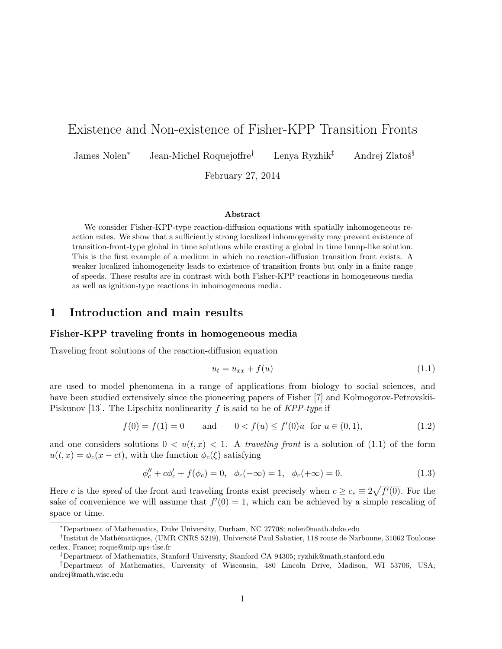## Existence and Non-existence of Fisher-KPP Transition Fronts

James Nolen<sup>∗</sup> Jean-Michel Roquejoffre<sup>†</sup> Lenya Ryzhik<sup>‡</sup> Andrej Zlatoš<sup>§</sup>

February 27, 2014

### Abstract

We consider Fisher-KPP-type reaction-diffusion equations with spatially inhomogeneous reaction rates. We show that a sufficiently strong localized inhomogeneity may prevent existence of transition-front-type global in time solutions while creating a global in time bump-like solution. This is the first example of a medium in which no reaction-diffusion transition front exists. A weaker localized inhomogeneity leads to existence of transition fronts but only in a finite range of speeds. These results are in contrast with both Fisher-KPP reactions in homogeneous media as well as ignition-type reactions in inhomogeneous media.

### 1 Introduction and main results

### Fisher-KPP traveling fronts in homogeneous media

Traveling front solutions of the reaction-diffusion equation

$$
u_t = u_{xx} + f(u) \tag{1.1}
$$

are used to model phenomena in a range of applications from biology to social sciences, and have been studied extensively since the pioneering papers of Fisher [7] and Kolmogorov-Petrovskii-Piskunov [13]. The Lipschitz nonlinearity f is said to be of  $KPP$ -type if

$$
f(0) = f(1) = 0 \quad \text{and} \quad 0 < f(u) \le f'(0)u \quad \text{for } u \in (0, 1), \tag{1.2}
$$

and one considers solutions  $0 < u(t, x) < 1$ . A traveling front is a solution of (1.1) of the form  $u(t, x) = \phi_c(x - ct)$ , with the function  $\phi_c(\xi)$  satisfying

$$
\phi''_c + c\phi'_c + f(\phi_c) = 0, \quad \phi_c(-\infty) = 1, \quad \phi_c(+\infty) = 0.
$$
 (1.3)

Here c is the speed of the front and traveling fronts exist precisely when  $c \geq c_* \equiv 2\sqrt{f'(0)}$ . For the sake of convenience we will assume that  $f'(0) = 1$ , which can be achieved by a simple rescaling of space or time.

<sup>∗</sup>Department of Mathematics, Duke University, Durham, NC 27708; nolen@math.duke.edu

<sup>&</sup>lt;sup>†</sup>Institut de Mathématiques, (UMR CNRS 5219), Université Paul Sabatier, 118 route de Narbonne, 31062 Toulouse cedex, France; roque@mip.ups-tlse.fr

<sup>‡</sup>Department of Mathematics, Stanford University, Stanford CA 94305; ryzhik@math.stanford.edu

<sup>§</sup>Department of Mathematics, University of Wisconsin, 480 Lincoln Drive, Madison, WI 53706, USA; andrej@math.wisc.edu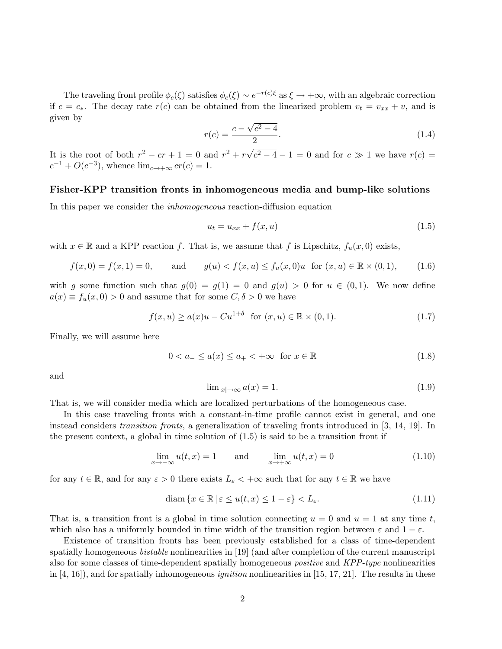The traveling front profile  $\phi_c(\xi)$  satisfies  $\phi_c(\xi) \sim e^{-r(c)\xi}$  as  $\xi \to +\infty$ , with an algebraic correction if  $c = c_*$ . The decay rate  $r(c)$  can be obtained from the linearized problem  $v_t = v_{xx} + v$ , and is given by √

$$
r(c) = \frac{c - \sqrt{c^2 - 4}}{2}.
$$
\n(1.4)

It is the root of both  $r^2 - cr + 1 = 0$  and  $r^2 + r\sqrt{}$  $\sqrt{c^2-4}-1=0$  and for  $c \gg 1$  we have  $r(c) =$  $c^{-1} + O(c^{-3})$ , whence  $\lim_{c \to +\infty} cr(c) = 1$ .

### Fisher-KPP transition fronts in inhomogeneous media and bump-like solutions

In this paper we consider the inhomogeneous reaction-diffusion equation

$$
u_t = u_{xx} + f(x, u) \tag{1.5}
$$

with  $x \in \mathbb{R}$  and a KPP reaction f. That is, we assume that f is Lipschitz,  $f_u(x, 0)$  exists,

$$
f(x,0) = f(x,1) = 0, \qquad \text{and} \qquad g(u) < f(x,u) \le f_u(x,0)u \quad \text{for } (x,u) \in \mathbb{R} \times (0,1), \tag{1.6}
$$

with g some function such that  $g(0) = g(1) = 0$  and  $g(u) > 0$  for  $u \in (0,1)$ . We now define  $a(x) \equiv f_u(x,0) > 0$  and assume that for some  $C, \delta > 0$  we have

$$
f(x, u) \ge a(x)u - Cu^{1+\delta} \text{ for } (x, u) \in \mathbb{R} \times (0, 1).
$$
 (1.7)

Finally, we will assume here

$$
0 < a_- \le a(x) \le a_+ < +\infty \quad \text{for } x \in \mathbb{R} \tag{1.8}
$$

and

$$
\lim_{|x| \to \infty} a(x) = 1. \tag{1.9}
$$

That is, we will consider media which are localized perturbations of the homogeneous case.

In this case traveling fronts with a constant-in-time profile cannot exist in general, and one instead considers transition fronts, a generalization of traveling fronts introduced in [3, 14, 19]. In the present context, a global in time solution of (1.5) is said to be a transition front if

$$
\lim_{x \to -\infty} u(t, x) = 1 \quad \text{and} \quad \lim_{x \to +\infty} u(t, x) = 0 \tag{1.10}
$$

for any  $t \in \mathbb{R}$ , and for any  $\varepsilon > 0$  there exists  $L_{\varepsilon} < +\infty$  such that for any  $t \in \mathbb{R}$  we have

$$
\text{diam}\left\{x \in \mathbb{R} \,|\, \varepsilon \le u(t, x) \le 1 - \varepsilon\right\} < L_{\varepsilon}.\tag{1.11}
$$

That is, a transition front is a global in time solution connecting  $u = 0$  and  $u = 1$  at any time t, which also has a uniformly bounded in time width of the transition region between  $\varepsilon$  and  $1-\varepsilon$ .

Existence of transition fronts has been previously established for a class of time-dependent spatially homogeneous bistable nonlinearities in [19] (and after completion of the current manuscript also for some classes of time-dependent spatially homogeneous *positive* and KPP-type nonlinearities in  $[4, 16]$ , and for spatially inhomogeneous *ignition* nonlinearities in [15, 17, 21]. The results in these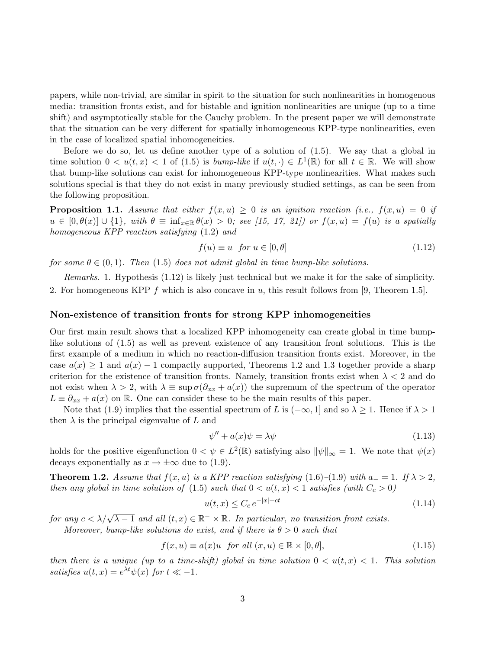papers, while non-trivial, are similar in spirit to the situation for such nonlinearities in homogenous media: transition fronts exist, and for bistable and ignition nonlinearities are unique (up to a time shift) and asymptotically stable for the Cauchy problem. In the present paper we will demonstrate that the situation can be very different for spatially inhomogeneous KPP-type nonlinearities, even in the case of localized spatial inhomogeneities.

Before we do so, let us define another type of a solution of (1.5). We say that a global in time solution  $0 < u(t, x) < 1$  of (1.5) is *bump-like* if  $u(t, \cdot) \in L^1(\mathbb{R})$  for all  $t \in \mathbb{R}$ . We will show that bump-like solutions can exist for inhomogeneous KPP-type nonlinearities. What makes such solutions special is that they do not exist in many previously studied settings, as can be seen from the following proposition.

**Proposition 1.1.** Assume that either  $f(x, u) \geq 0$  is an ignition reaction (i.e.,  $f(x, u) = 0$  if  $u \in [0, \theta(x)] \cup \{1\}$ , with  $\theta \equiv \inf_{x \in \mathbb{R}} \theta(x) > 0$ ; see [15, 17, 21]) or  $f(x, u) = f(u)$  is a spatially homogeneous KPP reaction satisfying (1.2) and

$$
f(u) \equiv u \quad \text{for } u \in [0, \theta] \tag{1.12}
$$

for some  $\theta \in (0,1)$ . Then (1.5) does not admit global in time bump-like solutions.

Remarks. 1. Hypothesis (1.12) is likely just technical but we make it for the sake of simplicity. 2. For homogeneous KPP f which is also concave in u, this result follows from [9, Theorem 1.5].

### Non-existence of transition fronts for strong KPP inhomogeneities

Our first main result shows that a localized KPP inhomogeneity can create global in time bumplike solutions of (1.5) as well as prevent existence of any transition front solutions. This is the first example of a medium in which no reaction-diffusion transition fronts exist. Moreover, in the case  $a(x) \ge 1$  and  $a(x) - 1$  compactly supported, Theorems 1.2 and 1.3 together provide a sharp criterion for the existence of transition fronts. Namely, transition fronts exist when  $\lambda < 2$  and do not exist when  $\lambda > 2$ , with  $\lambda \equiv \sup \sigma(\partial_{xx} + a(x))$  the supremum of the spectrum of the operator  $L \equiv \partial_{xx} + a(x)$  on R. One can consider these to be the main results of this paper.

Note that (1.9) implies that the essential spectrum of L is  $(-\infty, 1]$  and so  $\lambda \geq 1$ . Hence if  $\lambda > 1$ then  $\lambda$  is the principal eigenvalue of L and

$$
\psi'' + a(x)\psi = \lambda\psi \tag{1.13}
$$

holds for the positive eigenfunction  $0 < \psi \in L^2(\mathbb{R})$  satisfying also  $\|\psi\|_{\infty} = 1$ . We note that  $\psi(x)$ decays exponentially as  $x \to \pm \infty$  due to (1.9).

**Theorem 1.2.** Assume that  $f(x, u)$  is a KPP reaction satisfying (1.6)–(1.9) with  $a_0 = 1$ . If  $\lambda > 2$ , then any global in time solution of (1.5) such that  $0 < u(t, x) < 1$  satisfies (with  $C_c > 0$ )

$$
u(t,x) \le C_c e^{-|x|+ct} \tag{1.14}
$$

for any  $c < \lambda/\sqrt{\lambda - 1}$  and all  $(t, x) \in \mathbb{R}^- \times \mathbb{R}$ . In particular, no transition front exists.

Moreover, bump-like solutions do exist, and if there is  $\theta > 0$  such that

$$
f(x, u) \equiv a(x)u \text{ for all } (x, u) \in \mathbb{R} \times [0, \theta],
$$
\n(1.15)

then there is a unique (up to a time-shift) global in time solution  $0 < u(t, x) < 1$ . This solution satisfies  $u(t, x) = e^{\lambda t} \psi(x)$  for  $t \ll -1$ .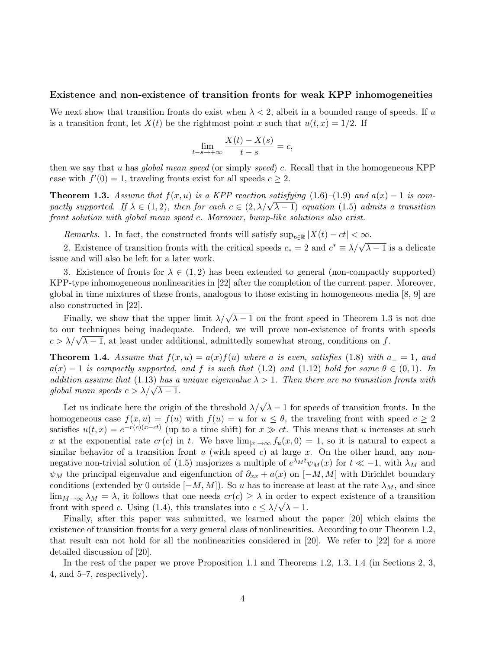### Existence and non-existence of transition fronts for weak KPP inhomogeneities

We next show that transition fronts do exist when  $\lambda < 2$ , albeit in a bounded range of speeds. If u is a transition front, let  $X(t)$  be the rightmost point x such that  $u(t, x) = 1/2$ . If

$$
\lim_{t-s \to +\infty} \frac{X(t) - X(s)}{t - s} = c,
$$

then we say that u has global mean speed (or simply speed) c. Recall that in the homogeneous KPP case with  $f'(0) = 1$ , traveling fronts exist for all speeds  $c \geq 2$ .

**Theorem 1.3.** Assume that  $f(x, u)$  is a KPP reaction satisfying  $(1.6)$ – $(1.9)$  and  $a(x)$  – 1 is com-**Theorem 1.3.** Assume that  $f(x, u)$  is a KPP reaction satisfying (1.0)–(1.9) and  $a(x) = 1$  is compactly supported. If  $\lambda \in (1, 2)$ , then for each  $c \in (2, \lambda/\sqrt{\lambda - 1})$  equation (1.5) admits a transition front solution with global mean speed c. Moreover, bump-like solutions also exist.

Remarks. 1. In fact, the constructed fronts will satisfy  $\sup_{t\in\mathbb{R}} |X(t) - ct| < \infty$ .

2. Existence of transition fronts with the critical speeds  $c_* = 2$  and  $c^* \equiv \lambda/\sqrt{\lambda - 1}$  is a delicate issue and will also be left for a later work.

3. Existence of fronts for  $\lambda \in (1,2)$  has been extended to general (non-compactly supported) KPP-type inhomogeneous nonlinearities in [22] after the completion of the current paper. Moreover, global in time mixtures of these fronts, analogous to those existing in homogeneous media [8, 9] are also constructed in [22].

Finally, we show that the upper limit  $\lambda/\sqrt{\lambda-1}$  on the front speed in Theorem 1.3 is not due to our techniques being inadequate. Indeed, we will prove non-existence of fronts with speeds to our techniques being madequate. Indeed, we will prove non-existence of froms v<br> $c > \lambda/\sqrt{\lambda - 1}$ , at least under additional, admittedly somewhat strong, conditions on f.

**Theorem 1.4.** Assume that  $f(x, u) = a(x)f(u)$  where a is even, satisfies (1.8) with  $a_0 = 1$ , and  $a(x) - 1$  is compactly supported, and f is such that (1.2) and (1.12) hold for some  $\theta \in (0,1)$ . In addition assume that (1.13) has a unique eigenvalue  $\lambda > 1$ . Then there are no transition fronts with *aaanon assume man* (1.15) *nas a*<br>global mean speeds  $c > \lambda/\sqrt{\lambda - 1}$ .

Let us indicate here the origin of the threshold  $\lambda/\sqrt{\lambda-1}$  for speeds of transition fronts. In the homogeneous case  $f(x, u) = f(u)$  with  $f(u) = u$  for  $u \le \theta$ , the traveling front with speed  $c \ge 2$ satisfies  $u(t,x) = e^{-r(c)(x-ct)}$  (up to a time shift) for  $x \gg ct$ . This means that u increases at such x at the exponential rate  $cr(c)$  in t. We have  $\lim_{|x|\to\infty} f_u(x, 0) = 1$ , so it is natural to expect a similar behavior of a transition front  $u$  (with speed  $c$ ) at large  $x$ . On the other hand, any nonnegative non-trivial solution of (1.5) majorizes a multiple of  $e^{\lambda_M t}\psi_M(x)$  for  $t \ll -1$ , with  $\lambda_M$  and  $\psi_M$  the principal eigenvalue and eigenfunction of  $\partial_{xx} + a(x)$  on  $[-M, M]$  with Dirichlet boundary conditions (extended by 0 outside  $[-M, M]$ ). So u has to increase at least at the rate  $\lambda_M$ , and since  $\lim_{M\to\infty}\lambda_M=\lambda$ , it follows that one needs  $cr(c)\geq\lambda$  in order to expect existence of a transition  $\lim_{M \to \infty} \lambda_M = \lambda$ , it follows that one needs  $cr(c) \ge \lambda$  in order to front with speed c. Using (1.4), this translates into  $c \le \lambda/\sqrt{\lambda - 1}$ .

Finally, after this paper was submitted, we learned about the paper [20] which claims the existence of transition fronts for a very general class of nonlinearities. According to our Theorem 1.2, that result can not hold for all the nonlinearities considered in [20]. We refer to [22] for a more detailed discussion of [20].

In the rest of the paper we prove Proposition 1.1 and Theorems 1.2, 1.3, 1.4 (in Sections 2, 3, 4, and 5–7, respectively).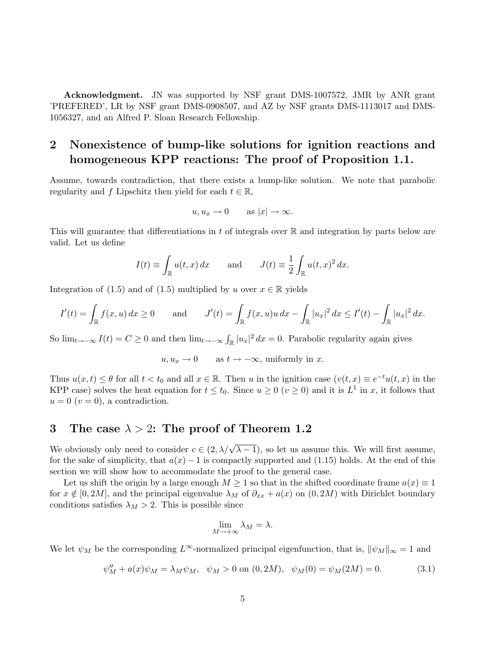Acknowledgment. JN was supported by NSF grant DMS-1007572, JMR by ANR grant 'PREFERED', LR by NSF grant DMS-0908507, and AZ by NSF grants DMS-1113017 and DMS-1056327, and an Alfred P. Sloan Research Fellowship.

## 2 Nonexistence of bump-like solutions for ignition reactions and homogeneous KPP reactions: The proof of Proposition 1.1.

Assume, towards contradiction, that there exists a bump-like solution. We note that parabolic regularity and f Lipschitz then yield for each  $t \in \mathbb{R}$ ,

$$
u, u_x \to 0 \quad \text{as } |x| \to \infty.
$$

This will guarantee that differentiations in t of integrals over  $\mathbb R$  and integration by parts below are valid. Let us define

$$
I(t) \equiv \int_{\mathbb{R}} u(t, x) dx \quad \text{and} \quad J(t) \equiv \frac{1}{2} \int_{\mathbb{R}} u(t, x)^2 dx.
$$

Integration of (1.5) and of (1.5) multiplied by u over  $x \in \mathbb{R}$  yields

$$
I'(t) = \int_{\mathbb{R}} f(x, u) dx \ge 0 \quad \text{and} \quad J'(t) = \int_{\mathbb{R}} f(x, u)u dx - \int_{\mathbb{R}} |u_x|^2 dx \le I'(t) - \int_{\mathbb{R}} |u_x|^2 dx.
$$

So  $\lim_{t\to-\infty} I(t) = C \geq 0$  and then  $\lim_{t\to-\infty} \int_{\mathbb{R}} |u_x|^2 dx = 0$ . Parabolic regularity again gives

 $u, u_x \to 0$  as  $t \to -\infty$ , uniformly in x.

Thus  $u(x,t) \leq \theta$  for all  $t < t_0$  and all  $x \in \mathbb{R}$ . Then u in the ignition case  $(v(t,x) \equiv e^{-t}u(t,x)$  in the KPP case) solves the heat equation for  $t \le t_0$ . Since  $u \ge 0$   $(v \ge 0)$  and it is  $L^1$  in x, it follows that  $u = 0$   $(v = 0)$ , a contradiction.

## 3 The case  $\lambda > 2$ : The proof of Theorem 1.2

We obviously only need to consider  $c \in (2, \lambda/\sqrt{\lambda-1})$ , so let us assume this. We will first assume, for the sake of simplicity, that  $a(x) - 1$  is compactly supported and (1.15) holds. At the end of this section we will show how to accommodate the proof to the general case.

Let us shift the origin by a large enough  $M \geq 1$  so that in the shifted coordinate frame  $a(x) \equiv 1$ for  $x \notin [0, 2M]$ , and the principal eigenvalue  $\lambda_M$  of  $\partial_{xx} + a(x)$  on  $(0, 2M)$  with Dirichlet boundary conditions satisfies  $\lambda_M > 2$ . This is possible since

$$
\lim_{M \to +\infty} \lambda_M = \lambda.
$$

We let  $\psi_M$  be the corresponding  $L^{\infty}$ -normalized principal eigenfunction, that is,  $\|\psi_M\|_{\infty}=1$  and

$$
\psi''_M + a(x)\psi_M = \lambda_M \psi_M, \quad \psi_M > 0 \text{ on } (0, 2M), \quad \psi_M(0) = \psi_M(2M) = 0. \tag{3.1}
$$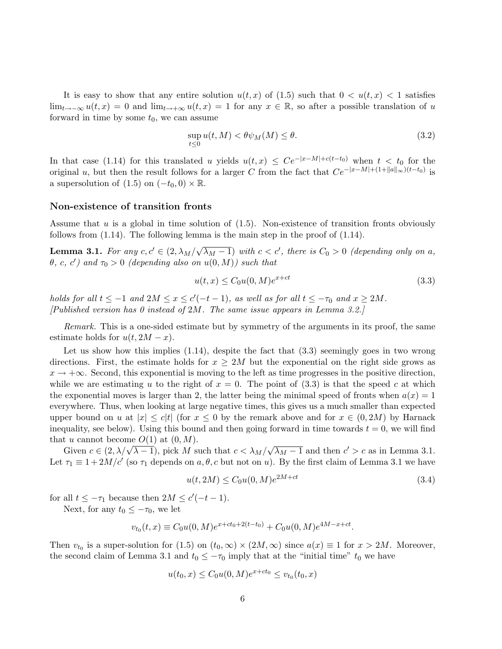It is easy to show that any entire solution  $u(t, x)$  of (1.5) such that  $0 < u(t, x) < 1$  satisfies  $\lim_{t\to-\infty}u(t,x)=0$  and  $\lim_{t\to+\infty}u(t,x)=1$  for any  $x\in\mathbb{R}$ , so after a possible translation of u forward in time by some  $t_0$ , we can assume

$$
\sup_{t \le 0} u(t, M) < \theta \psi_M(M) \le \theta. \tag{3.2}
$$

In that case (1.14) for this translated u yields  $u(t,x) \leq Ce^{-|x-M|+c(t-t_0)}$  when  $t < t_0$  for the original u, but then the result follows for a larger C from the fact that  $Ce^{-|x-M|+(1+||a||_{\infty})(t-t_0)}$  is a supersolution of  $(1.5)$  on  $(-t_0, 0) \times \mathbb{R}$ .

### Non-existence of transition fronts

Assume that  $u$  is a global in time solution of  $(1.5)$ . Non-existence of transition fronts obviously follows from  $(1.14)$ . The following lemma is the main step in the proof of  $(1.14)$ .

**Lemma 3.1.** For any  $c, c' \in (2, \lambda_M/\sqrt{\lambda_M - 1})$  with  $c < c'$ , there is  $C_0 > 0$  (depending only on a,  $\theta$ , c, c') and  $\tau_0 > 0$  (depending also on  $u(0, M)$ ) such that

$$
u(t,x) \leq C_0 u(0,M)e^{x+ct}
$$
\n
$$
(3.3)
$$

holds for all  $t \leq -1$  and  $2M \leq x \leq c'(-t-1)$ , as well as for all  $t \leq -\tau_0$  and  $x \geq 2M$ . [Published version has 0 instead of 2M. The same issue appears in Lemma 3.2.]

Remark. This is a one-sided estimate but by symmetry of the arguments in its proof, the same estimate holds for  $u(t, 2M - x)$ .

Let us show how this implies  $(1.14)$ , despite the fact that  $(3.3)$  seemingly goes in two wrong directions. First, the estimate holds for  $x \geq 2M$  but the exponential on the right side grows as  $x \to +\infty$ . Second, this exponential is moving to the left as time progresses in the positive direction, while we are estimating u to the right of  $x = 0$ . The point of (3.3) is that the speed c at which the exponential moves is larger than 2, the latter being the minimal speed of fronts when  $a(x) = 1$ everywhere. Thus, when looking at large negative times, this gives us a much smaller than expected upper bound on u at  $|x| \leq c|t|$  (for  $x \leq 0$  by the remark above and for  $x \in (0, 2M)$  by Harnack inequality, see below). Using this bound and then going forward in time towards  $t = 0$ , we will find that u cannot become  $O(1)$  at  $(0, M)$ . √

Given  $c \in (2, \lambda/\sqrt{\lambda-1})$ , pick M such that  $c < \lambda_M/\sqrt{\lambda-1}$  $\overline{\lambda_M - 1}$  and then  $c' > c$  as in Lemma 3.1. Let  $\tau_1 \equiv 1 + 2M/c'$  (so  $\tau_1$  depends on  $a, \theta, c$  but not on u). By the first claim of Lemma 3.1 we have

$$
u(t, 2M) \le C_0 u(0, M)e^{2M + ct}
$$
\n(3.4)

for all  $t \leq -\tau_1$  because then  $2M \leq c'(-t-1)$ .

Next, for any  $t_0 \leq -\tau_0$ , we let

$$
v_{t_0}(t,x) \equiv C_0 u(0,M) e^{x+ct_0+2(t-t_0)} + C_0 u(0,M) e^{4M-x+ct}.
$$

Then  $v_{t_0}$  is a super-solution for (1.5) on  $(t_0, \infty) \times (2M, \infty)$  since  $a(x) \equiv 1$  for  $x > 2M$ . Moreover, the second claim of Lemma 3.1 and  $t_0 \leq -\tau_0$  imply that at the "initial time"  $t_0$  we have

$$
u(t_0, x) \le C_0 u(0, M) e^{x + ct_0} \le v_{t_0}(t_0, x)
$$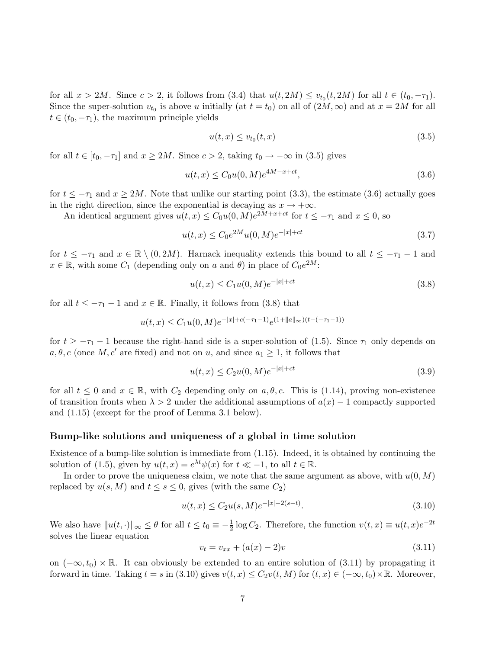for all  $x > 2M$ . Since  $c > 2$ , it follows from  $(3.4)$  that  $u(t, 2M) \le v_{t_0}(t, 2M)$  for all  $t \in (t_0, -\tau_1)$ . Since the super-solution  $v_{t_0}$  is above u initially (at  $t = t_0$ ) on all of  $(2M, \infty)$  and at  $x = 2M$  for all  $t \in (t_0, -\tau_1)$ , the maximum principle yields

$$
u(t,x) \le v_{t_0}(t,x) \tag{3.5}
$$

for all  $t \in [t_0, -\tau_1]$  and  $x \ge 2M$ . Since  $c > 2$ , taking  $t_0 \to -\infty$  in (3.5) gives

$$
u(t,x) \le C_0 u(0,M)e^{4M - x + ct},\tag{3.6}
$$

for  $t \leq -\tau_1$  and  $x \geq 2M$ . Note that unlike our starting point (3.3), the estimate (3.6) actually goes in the right direction, since the exponential is decaying as  $x \to +\infty$ .

An identical argument gives  $u(t, x) \leq C_0 u(0, M) e^{2M + x + ct}$  for  $t \leq -\tau_1$  and  $x \leq 0$ , so

$$
u(t,x) \le C_0 e^{2M} u(0,M) e^{-|x|+ct}
$$
\n(3.7)

for  $t \leq -\tau_1$  and  $x \in \mathbb{R} \setminus (0, 2M)$ . Harnack inequality extends this bound to all  $t \leq -\tau_1 - 1$  and  $x \in \mathbb{R}$ , with some  $C_1$  (depending only on a and  $\theta$ ) in place of  $C_0e^{2M}$ :

$$
u(t,x) \le C_1 u(0,M) e^{-|x|+ct}
$$
\n(3.8)

for all  $t \leq -\tau_1 - 1$  and  $x \in \mathbb{R}$ . Finally, it follows from (3.8) that

$$
u(t,x) \le C_1 u(0,M) e^{-|x| + c(-\tau_1 - 1)} e^{(1 + \|a\|_{\infty})(t - (-\tau_1 - 1))}
$$

for  $t \ge -\tau_1 - 1$  because the right-hand side is a super-solution of (1.5). Since  $\tau_1$  only depends on  $a, \theta, c$  (once M, c' are fixed) and not on u, and since  $a_1 \geq 1$ , it follows that

$$
u(t,x) \le C_2 u(0,M)e^{-|x|+ct}
$$
\n(3.9)

for all  $t \leq 0$  and  $x \in \mathbb{R}$ , with  $C_2$  depending only on  $a, \theta, c$ . This is (1.14), proving non-existence of transition fronts when  $\lambda > 2$  under the additional assumptions of  $a(x) - 1$  compactly supported and (1.15) (except for the proof of Lemma 3.1 below).

### Bump-like solutions and uniqueness of a global in time solution

Existence of a bump-like solution is immediate from (1.15). Indeed, it is obtained by continuing the solution of (1.5), given by  $u(t, x) = e^{\lambda t} \psi(x)$  for  $t \ll -1$ , to all  $t \in \mathbb{R}$ .

In order to prove the uniqueness claim, we note that the same argument as above, with  $u(0, M)$ replaced by  $u(s, M)$  and  $t \leq s \leq 0$ , gives (with the same  $C_2$ )

$$
u(t,x) \le C_2 u(s,M) e^{-|x|-2(s-t)}.\tag{3.10}
$$

We also have  $||u(t, \cdot)||_{\infty} \leq \theta$  for all  $t \leq t_0 \equiv -\frac{1}{2} \log C_2$ . Therefore, the function  $v(t, x) \equiv u(t, x)e^{-2t}$ solves the linear equation

$$
v_t = v_{xx} + (a(x) - 2)v \tag{3.11}
$$

on  $(-\infty, t_0) \times \mathbb{R}$ . It can obviously be extended to an entire solution of (3.11) by propagating it forward in time. Taking  $t = s$  in (3.10) gives  $v(t, x) \le C_2 v(t, M)$  for  $(t, x) \in (-\infty, t_0) \times \mathbb{R}$ . Moreover,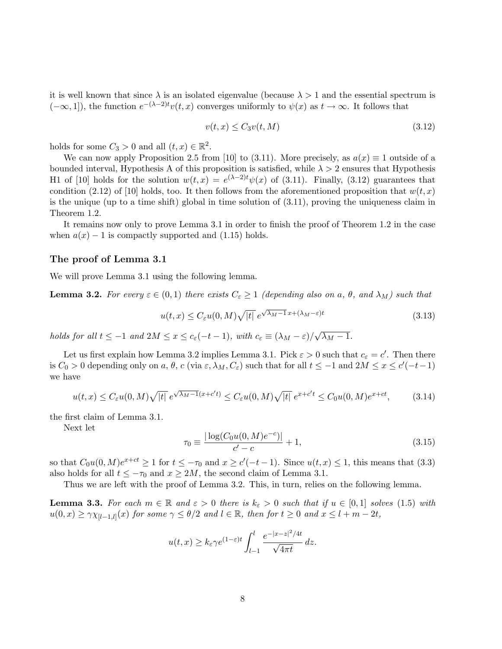it is well known that since  $\lambda$  is an isolated eigenvalue (because  $\lambda > 1$  and the essential spectrum is  $(-\infty, 1]$ , the function  $e^{-(\lambda-2)t}v(t, x)$  converges uniformly to  $\psi(x)$  as  $t \to \infty$ . It follows that

$$
v(t,x) \le C_3 v(t,M) \tag{3.12}
$$

holds for some  $C_3 > 0$  and all  $(t, x) \in \mathbb{R}^2$ .

We can now apply Proposition 2.5 from [10] to (3.11). More precisely, as  $a(x) \equiv 1$  outside of a bounded interval, Hypothesis A of this proposition is satisfied, while  $\lambda > 2$  ensures that Hypothesis H1 of [10] holds for the solution  $w(t, x) = e^{(\lambda - 2)t} \psi(x)$  of (3.11). Finally, (3.12) guarantees that condition (2.12) of [10] holds, too. It then follows from the aforementioned proposition that  $w(t, x)$ is the unique (up to a time shift) global in time solution of (3.11), proving the uniqueness claim in Theorem 1.2.

It remains now only to prove Lemma 3.1 in order to finish the proof of Theorem 1.2 in the case when  $a(x) - 1$  is compactly supported and (1.15) holds.

### The proof of Lemma 3.1

We will prove Lemma 3.1 using the following lemma.

**Lemma 3.2.** For every  $\varepsilon \in (0,1)$  there exists  $C_{\varepsilon} \geq 1$  (depending also on a,  $\theta$ , and  $\lambda_M$ ) such that

$$
u(t,x) \le C_{\varepsilon} u(0,M) \sqrt{|t|} e^{\sqrt{\lambda_M - 1}x + (\lambda_M - \varepsilon)t}
$$
\n(3.13)

holds for all  $t \leq -1$  and  $2M \leq x \leq c_{\varepsilon}(-t-1)$ , with  $c_{\varepsilon} \equiv (\lambda_M - \varepsilon)/$ √  $\overline{\lambda_M-1}$ .

Let us first explain how Lemma 3.2 implies Lemma 3.1. Pick  $\varepsilon > 0$  such that  $c_{\varepsilon} = c'$ . Then there is  $C_0 > 0$  depending only on  $a, \theta, c$  (via  $\varepsilon, \lambda_M, C_{\varepsilon}$ ) such that for all  $t \leq -1$  and  $2M \leq x \leq c'(-t-1)$ we have

$$
u(t,x) \le C_{\varepsilon} u(0,M)\sqrt{|t|} e^{\sqrt{\lambda_M - 1}(x + c't)} \le C_{\varepsilon} u(0,M)\sqrt{|t|} e^{x + c't} \le C_0 u(0,M)e^{x + ct}, \tag{3.14}
$$

the first claim of Lemma 3.1.

Next let

$$
\tau_0 \equiv \frac{|\log(C_0 u(0, M)e^{-c})|}{c' - c} + 1,\tag{3.15}
$$

so that  $C_0u(0, M)e^{x+ct} \ge 1$  for  $t \le -\tau_0$  and  $x \ge c'(-t-1)$ . Since  $u(t, x) \le 1$ , this means that  $(3.3)$ also holds for all  $t \leq -\tau_0$  and  $x \geq 2M$ , the second claim of Lemma 3.1.

Thus we are left with the proof of Lemma 3.2. This, in turn, relies on the following lemma.

**Lemma 3.3.** For each  $m \in \mathbb{R}$  and  $\varepsilon > 0$  there is  $k_{\varepsilon} > 0$  such that if  $u \in [0,1]$  solves (1.5) with  $u(0,x) \geq \gamma \chi_{[l-1,l]}(x)$  for some  $\gamma \leq \theta/2$  and  $l \in \mathbb{R}$ , then for  $t \geq 0$  and  $x \leq l+m-2t$ ,

$$
u(t,x) \ge k_{\varepsilon} \gamma e^{(1-\varepsilon)t} \int_{l-1}^{l} \frac{e^{-|x-z|^2/4t}}{\sqrt{4\pi t}} dz.
$$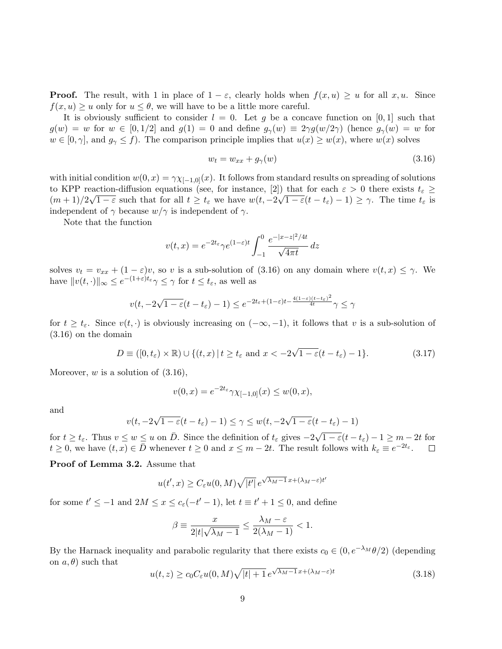**Proof.** The result, with 1 in place of  $1 - \varepsilon$ , clearly holds when  $f(x, u) \geq u$  for all  $x, u$ . Since  $f(x, u) \geq u$  only for  $u \leq \theta$ , we will have to be a little more careful.

It is obviously sufficient to consider  $l = 0$ . Let g be a concave function on [0, 1] such that  $g(w) = w$  for  $w \in [0, 1/2]$  and  $g(1) = 0$  and define  $g_{\gamma}(w) \equiv 2\gamma g(w/2\gamma)$  (hence  $g_{\gamma}(w) = w$  for  $w \in [0, \gamma]$ , and  $g_{\gamma} \leq f$ ). The comparison principle implies that  $u(x) \geq w(x)$ , where  $w(x)$  solves

$$
w_t = w_{xx} + g_{\gamma}(w) \tag{3.16}
$$

with initial condition  $w(0, x) = \gamma \chi_{[-1,0]}(x)$ . It follows from standard results on spreading of solutions to KPP reaction-diffusion equations (see, for instance, [2]) that for each  $\varepsilon > 0$  there exists  $t_{\varepsilon} \geq$  $(m+1)/2\sqrt{1-\varepsilon}$  such that for all  $t \ge t_{\varepsilon}$  we have  $w(t, -2\sqrt{1-\varepsilon}(t-t_{\varepsilon})-1) \ge \gamma$ . The time  $t_{\varepsilon}$  is independent of  $\gamma$  because  $w/\gamma$  is independent of  $\gamma$ .

Note that the function

$$
v(t,x) = e^{-2t_{\varepsilon}} \gamma e^{(1-\varepsilon)t} \int_{-1}^{0} \frac{e^{-|x-z|^2/4t}}{\sqrt{4\pi t}} dz
$$

solves  $v_t = v_{xx} + (1 - \varepsilon)v$ , so v is a sub-solution of (3.16) on any domain where  $v(t, x) \leq \gamma$ . We have  $||v(t, \cdot)||_{\infty} \le e^{-(1+\varepsilon)t_{\varepsilon}} \gamma \le \gamma$  for  $t \le t_{\varepsilon}$ , as well as

$$
v(t, -2\sqrt{1-\varepsilon}(t-t_{\varepsilon})-1) \le e^{-2t_{\varepsilon} + (1-\varepsilon)t - \frac{4(1-\varepsilon)(t-t_{\varepsilon})^2}{4t}}\gamma \le \gamma
$$

for  $t \geq t_{\varepsilon}$ . Since  $v(t, \cdot)$  is obviously increasing on  $(-\infty, -1)$ , it follows that v is a sub-solution of (3.16) on the domain

$$
D \equiv ([0, t_{\varepsilon}) \times \mathbb{R}) \cup \{(t, x) | t \ge t_{\varepsilon} \text{ and } x < -2\sqrt{1 - \varepsilon}(t - t_{\varepsilon}) - 1\}.
$$
 (3.17)

Moreover,  $w$  is a solution of  $(3.16)$ ,

$$
v(0,x) = e^{-2t_{\varepsilon}} \gamma \chi_{[-1,0]}(x) \le w(0,x),
$$

and

$$
v(t, -2\sqrt{1-\varepsilon}(t-t_{\varepsilon})-1) \leq \gamma \leq w(t, -2\sqrt{1-\varepsilon}(t-t_{\varepsilon})-1)
$$

for  $t \ge t_{\varepsilon}$ . Thus  $v \le w \le u$  on  $\overline{D}$ . Since the definition of  $t_{\varepsilon}$  gives  $-2\sqrt{ }$  $1 - \varepsilon (t - t_{\varepsilon}) - 1 \ge m - 2t$  for  $t \geq 0$ , we have  $(t, x) \in \overline{D}$  whenever  $t \geq 0$  and  $x \leq m - 2t$ . The result follows with  $k_{\varepsilon} \equiv e^{-2t_{\varepsilon}}$ .  $\Box$ 

Proof of Lemma 3.2. Assume that

$$
u(t',x) \ge C_{\varepsilon}u(0,M)\sqrt{|t'|}\,e^{\sqrt{\lambda_M-1}\,x + (\lambda_M-\varepsilon)t'}
$$

for some  $t' \leq -1$  and  $2M \leq x \leq c_{\varepsilon}(-t'-1)$ , let  $t \equiv t'+1 \leq 0$ , and define

$$
\beta \equiv \frac{x}{2|t|\sqrt{\lambda_M-1}} \leq \frac{\lambda_M-\varepsilon}{2(\lambda_M-1)} < 1.
$$

By the Harnack inequality and parabolic regularity that there exists  $c_0 \in (0, e^{-\lambda_M} \theta/2)$  (depending on  $a, \theta$  such that √

$$
u(t,z) \ge c_0 C_{\varepsilon} u(0,M) \sqrt{|t|+1} \, e^{\sqrt{\lambda_M-1} \, x + (\lambda_M - \varepsilon)t} \tag{3.18}
$$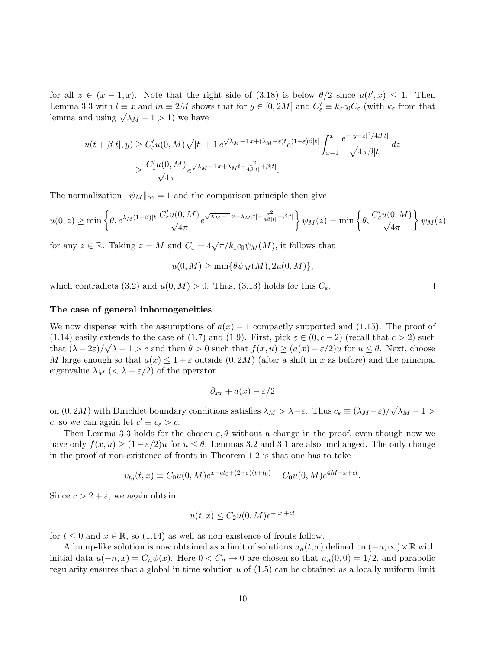for all  $z \in (x-1,x)$ . Note that the right side of (3.18) is below  $\theta/2$  since  $u(t',x) \leq 1$ . Then Lemma 3.3 with  $l \equiv x$  and  $m \equiv 2M$  shows that for  $y \in [0, 2M]$  and  $C'_{\varepsilon} \equiv k_{\varepsilon} c_0 C_{\varepsilon}$  (with  $k_{\varepsilon}$  from that Lemma 3.3 with  $i \equiv x$  and  $m \equiv 2M$  show<br>lemma and using  $\sqrt{\lambda_M - 1} > 1$ ) we have

$$
u(t+\beta|t|,y) \ge C'_{\varepsilon}u(0,M)\sqrt{|t|+1}e^{\sqrt{\lambda_M-1}x+(\lambda_M-\varepsilon)t}e^{(1-\varepsilon)\beta|t|}\int_{x-1}^x \frac{e^{-|y-z|^2/4\beta|t|}}{\sqrt{4\pi\beta|t|}}dz
$$
  

$$
\ge \frac{C'_{\varepsilon}u(0,M)}{\sqrt{4\pi}}e^{\sqrt{\lambda_M-1}x+\lambda_Mt-\frac{x^2}{4\beta|t|}+\beta|t|}.
$$

The normalization  $\|\psi_M\|_{\infty} = 1$  and the comparison principle then give

$$
u(0,z) \geq \min\left\{\theta, e^{\lambda_M(1-\beta)|t|} \frac{C'_\varepsilon u(0,M)}{\sqrt{4\pi}} e^{\sqrt{\lambda_M-1}x - \lambda_M|t| - \frac{x^2}{4\beta|t|} + \beta|t|}\right\} \psi_M(z) = \min\left\{\theta, \frac{C'_\varepsilon u(0,M)}{\sqrt{4\pi}}\right\} \psi_M(z)
$$

for any  $z \in \mathbb{R}$ . Taking  $z = M$  and  $C_{\varepsilon} = 4\sqrt{\pi}/k_{\varepsilon}c_0\psi_M(M)$ , it follows that

$$
u(0, M) \ge \min\{\theta \psi_M(M), 2u(0, M)\},\
$$

which contradicts (3.2) and  $u(0, M) > 0$ . Thus, (3.13) holds for this  $C_{\varepsilon}$ .

### The case of general inhomogeneities

We now dispense with the assumptions of  $a(x) - 1$  compactly supported and (1.15). The proof of (1.14) easily extends to the case of (1.7) and (1.9). First, pick  $\varepsilon \in (0, c - 2)$  (recall that  $c > 2$ ) such that  $(\lambda - 2\varepsilon)/\sqrt{\lambda - 1} > c$  and then  $\theta > 0$  such that  $f(x, u) \geq (a(x) - \varepsilon/2)u$  for  $u \leq \theta$ . Next, choose M large enough so that  $a(x) \leq 1 + \varepsilon$  outside  $(0, 2M)$  (after a shift in x as before) and the principal eigenvalue  $\lambda_M$  (<  $\lambda - \varepsilon/2$ ) of the operator

$$
\partial_{xx} + a(x) - \varepsilon/2
$$

on  $(0, 2M)$  with Dirichlet boundary conditions satisfies  $\lambda_M > \lambda - \varepsilon$ . Thus  $c_{\varepsilon} \equiv (\lambda_M - \varepsilon) / \sqrt{\varepsilon}$ √  $\overline{\lambda_M-1}>$ c, so we can again let  $c' \equiv c_{\varepsilon} > c$ .

Then Lemma 3.3 holds for the chosen  $\varepsilon, \theta$  without a change in the proof, even though now we have only  $f(x, u) \geq (1 - \varepsilon/2)u$  for  $u \leq \theta$ . Lemmas 3.2 and 3.1 are also unchanged. The only change in the proof of non-existence of fronts in Theorem 1.2 is that one has to take

$$
v_{t_0}(t,x) \equiv C_0 u(0,M) e^{x - ct_0 + (2+\varepsilon)(t+t_0)} + C_0 u(0,M) e^{4M - x + ct}.
$$

Since  $c > 2 + \varepsilon$ , we again obtain

$$
u(t,x) \le C_2 u(0,M) e^{-|x|+ct}
$$

for  $t \leq 0$  and  $x \in \mathbb{R}$ , so (1.14) as well as non-existence of fronts follow.

A bump-like solution is now obtained as a limit of solutions  $u_n(t, x)$  defined on  $(-n, \infty) \times \mathbb{R}$  with initial data  $u(-n, x) = C_n \psi(x)$ . Here  $0 < C_n \to 0$  are chosen so that  $u_n(0, 0) = 1/2$ , and parabolic regularity ensures that a global in time solution  $u$  of  $(1.5)$  can be obtained as a locally uniform limit

 $\Box$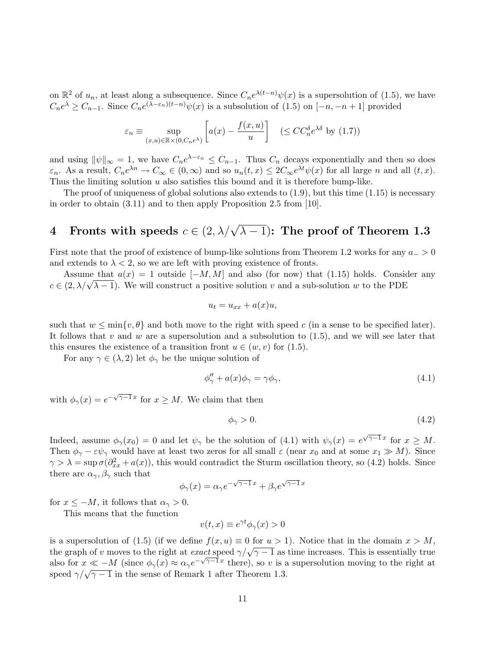on  $\mathbb{R}^2$  of  $u_n$ , at least along a subsequence. Since  $C_n e^{\lambda(t-n)} \psi(x)$  is a supersolution of (1.5), we have  $C_n e^{\lambda} \geq C_{n-1}$ . Since  $C_n e^{(\lambda - \varepsilon_n)(t-n)} \psi(x)$  is a subsolution of (1.5) on  $[-n, -n+1]$  provided

$$
\varepsilon_n \equiv \sup_{(x,u)\in\mathbb{R}\times(0,C_n e^{\lambda})} \left[ a(x) - \frac{f(x,u)}{u} \right] \quad (\leq CC_n^{\delta} e^{\lambda \delta} \text{ by (1.7)})
$$

and using  $\|\psi\|_{\infty} = 1$ , we have  $C_n e^{\lambda - \varepsilon_n} \leq C_{n-1}$ . Thus  $C_n$  decays exponentially and then so does  $\varepsilon_n$ . As a result,  $C_n e^{\lambda n} \to C_\infty \in (0,\infty)$  and so  $u_n(t,x) \leq 2C_\infty e^{\lambda t} \psi(x)$  for all large n and all  $(t,x)$ . Thus the limiting solution  $u$  also satisfies this bound and it is therefore bump-like.

The proof of uniqueness of global solutions also extends to  $(1.9)$ , but this time  $(1.15)$  is necessary in order to obtain (3.11) and to then apply Proposition 2.5 from [10].

# 4 Fronts with speeds  $c \in (2, \lambda/\sqrt{\lambda-1})$ : The proof of Theorem 1.3

First note that the proof of existence of bump-like solutions from Theorem 1.2 works for any  $a_$  > 0 and extends to  $\lambda < 2$ , so we are left with proving existence of fronts.

Assume that  $a(x) = 1$  outside  $[-M, M]$  and also (for now) that (1.15) holds. Consider any Assume that  $a(x) = 1$  outside  $[-M, M]$  and also (for now) that (1.15) holds. Construct  $c \in (2, \lambda/\sqrt{\lambda - 1})$ . We will construct a positive solution v and a sub-solution w to the PDE

$$
u_t = u_{xx} + a(x)u,
$$

such that  $w \n\leq \min\{v, \theta\}$  and both move to the right with speed c (in a sense to be specified later). It follows that v and w are a supersolution and a subsolution to  $(1.5)$ , and we will see later that this ensures the existence of a transition front  $u \in (w, v)$  for  $(1.5)$ .

For any  $\gamma \in (\lambda, 2)$  let  $\phi_{\gamma}$  be the unique solution of

$$
\phi''_{\gamma} + a(x)\phi_{\gamma} = \gamma\phi_{\gamma},\tag{4.1}
$$

with  $\phi_{\gamma}(x) = e^{-\sqrt{\gamma-1}x}$  for  $x \geq M$ . We claim that then

$$
\phi_{\gamma} > 0. \tag{4.2}
$$

Indeed, assume  $\phi_{\gamma}(x_0) = 0$  and let  $\psi_{\gamma}$  be the solution of (4.1) with  $\psi_{\gamma}(x) = e^{\sqrt{\gamma-1}x}$  for  $x \geq M$ . Then  $\phi_{\gamma} - \varepsilon \psi_{\gamma}$  would have at least two zeros for all small  $\varepsilon$  (near  $x_0$  and at some  $x_1 \gg M$ ). Since  $\gamma > \lambda = \sup \sigma(\partial_{xx}^2 + a(x))$ , this would contradict the Sturm oscillation theory, so (4.2) holds. Since there are  $\alpha_{\gamma}, \beta_{\gamma}$  such that √ √

$$
\phi_{\gamma}(x) = \alpha_{\gamma} e^{-\sqrt{\gamma - 1}x} + \beta_{\gamma} e^{\sqrt{\gamma - 1}x}
$$

for  $x \leq -M$ , it follows that  $\alpha_{\gamma} > 0$ .

This means that the function

$$
v(t,x) \equiv e^{\gamma t} \phi_{\gamma}(x) > 0
$$

is a supersolution of (1.5) (if we define  $f(x, u) \equiv 0$  for  $u > 1$ ). Notice that in the domain  $x > M$ , the graph of v moves to the right at exact speed  $\gamma/\sqrt{\gamma-1}$  as time increases. This is essentially true also for  $x \ll -M$  (since  $\phi_{\gamma}(x) \approx \alpha_{\gamma} e^{-\sqrt{\gamma-1}x}$  there), so v is a supersolution moving to the right at speed  $\gamma/\sqrt{\gamma-1}$  in the sense of Remark 1 after Theorem 1.3.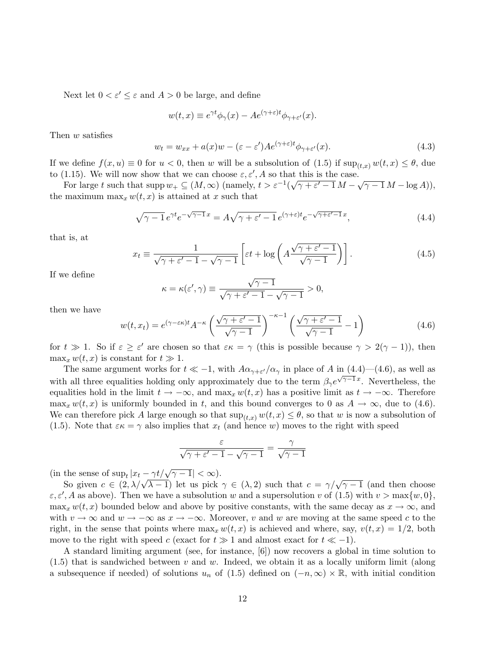Next let  $0 < \varepsilon' \leq \varepsilon$  and  $A > 0$  be large, and define

$$
w(t,x) \equiv e^{\gamma t} \phi_{\gamma}(x) - A e^{(\gamma + \varepsilon)t} \phi_{\gamma + \varepsilon'}(x).
$$

Then w satisfies

$$
w_t = w_{xx} + a(x)w - (\varepsilon - \varepsilon')Ae^{(\gamma + \varepsilon)t}\phi_{\gamma + \varepsilon'}(x). \tag{4.3}
$$

If we define  $f(x, u) \equiv 0$  for  $u < 0$ , then w will be a subsolution of (1.5) if  $\sup_{(t,x)} w(t, x) \leq \theta$ , due to (1.15). We will now show that we can choose  $\varepsilon, \varepsilon', A$  so that this is the case.

For large t such that supp  $w_+ \subseteq (M, \infty)$  (namely,  $t > \varepsilon^{-1}(\sqrt{\gamma + \varepsilon' - 1} M - \sqrt{\gamma - 1} M - \log A)$ ), the maximum  $\max_x w(t, x)$  is attained at x such that

$$
\sqrt{\gamma - 1} e^{\gamma t} e^{-\sqrt{\gamma - 1}x} = A\sqrt{\gamma + \varepsilon' - 1} e^{(\gamma + \varepsilon)t} e^{-\sqrt{\gamma + \varepsilon' - 1}x}, \tag{4.4}
$$

that is, at

$$
x_t \equiv \frac{1}{\sqrt{\gamma + \varepsilon' - 1} - \sqrt{\gamma - 1}} \left[ \varepsilon t + \log \left( A \frac{\sqrt{\gamma + \varepsilon' - 1}}{\sqrt{\gamma - 1}} \right) \right]. \tag{4.5}
$$

If we define

$$
\kappa = \kappa(\varepsilon', \gamma) \equiv \frac{\sqrt{\gamma - 1}}{\sqrt{\gamma + \varepsilon' - 1} - \sqrt{\gamma - 1}} > 0,
$$

then we have

$$
w(t, x_t) = e^{(\gamma - \varepsilon \kappa)t} A^{-\kappa} \left( \frac{\sqrt{\gamma + \varepsilon' - 1}}{\sqrt{\gamma - 1}} \right)^{-\kappa - 1} \left( \frac{\sqrt{\gamma + \varepsilon' - 1}}{\sqrt{\gamma - 1}} - 1 \right)
$$
(4.6)

for  $t \gg 1$ . So if  $\varepsilon \geq \varepsilon'$  are chosen so that  $\varepsilon \kappa = \gamma$  (this is possible because  $\gamma > 2(\gamma - 1)$ ), then  $\max_x w(t, x)$  is constant for  $t \gg 1$ .

The same argument works for  $t \ll -1$ , with  $A\alpha_{\gamma+\varepsilon}/\alpha_{\gamma}$  in place of A in  $(4.4)$ — $(4.6)$ , as well as with all three equalities holding only approximately due to the term  $\beta_{\gamma}e^{\sqrt{\gamma-1}x}$ . Nevertheless, the equalities hold in the limit  $t \to -\infty$ , and max<sub>x</sub> w(t, x) has a positive limit as  $t \to -\infty$ . Therefore  $\max_x w(t, x)$  is uniformly bounded in t, and this bound converges to 0 as  $A \to \infty$ , due to (4.6). We can therefore pick A large enough so that  $\sup_{(t,x)} w(t,x) \leq \theta$ , so that w is now a subsolution of (1.5). Note that  $\varepsilon \kappa = \gamma$  also implies that  $x_t$  (and hence w) moves to the right with speed

$$
\frac{\varepsilon}{\sqrt{\gamma + \varepsilon' - 1} - \sqrt{\gamma - 1}} = \frac{\gamma}{\sqrt{\gamma - 1}}
$$

(in the sense of  $\sup_t |x_t - \gamma t / \sqrt{\gamma - 1}| < \infty$ ).

So given  $c \in (2, \lambda/\sqrt{\lambda-1})$  let us pick  $\gamma \in (\lambda, 2)$  such that  $c = \gamma/\sqrt{\gamma-1}$  (and then choose  $\varepsilon, \varepsilon', A$  as above). Then we have a subsolution w and a supersolution v of (1.5) with  $v > \max\{w, 0\}$ ,  $\max_x w(t, x)$  bounded below and above by positive constants, with the same decay as  $x \to \infty$ , and with  $v \to \infty$  and  $w \to -\infty$  as  $x \to -\infty$ . Moreover, v and w are moving at the same speed c to the right, in the sense that points where  $\max_x w(t, x)$  is achieved and where, say,  $v(t, x) = 1/2$ , both move to the right with speed c (exact for  $t \gg 1$  and almost exact for  $t \ll -1$ ).

A standard limiting argument (see, for instance, [6]) now recovers a global in time solution to  $(1.5)$  that is sandwiched between v and w. Indeed, we obtain it as a locally uniform limit (along a subsequence if needed) of solutions  $u_n$  of (1.5) defined on  $(-n, \infty) \times \mathbb{R}$ , with initial condition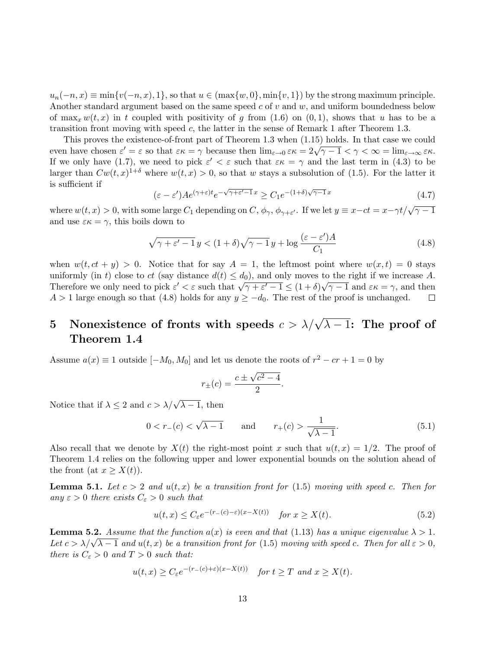$u_n(-n, x) \equiv \min\{v(-n, x), 1\}$ , so that  $u \in (\max\{w, 0\}, \min\{v, 1\})$  by the strong maximum principle. Another standard argument based on the same speed  $c$  of  $v$  and  $w$ , and uniform boundedness below of  $\max_x w(t, x)$  in t coupled with positivity of g from (1.6) on (0, 1), shows that u has to be a transition front moving with speed  $c$ , the latter in the sense of Remark 1 after Theorem 1.3.

This proves the existence-of-front part of Theorem 1.3 when (1.15) holds. In that case we could This proves the existence-or-nont part of Theorem 1.5 when (1.15) holds. In that case we could<br>even have chosen  $\varepsilon' = \varepsilon$  so that  $\varepsilon \kappa = \gamma$  because then  $\lim_{\varepsilon \to 0} \varepsilon \kappa = 2\sqrt{\gamma - 1} < \gamma < \infty = \lim_{\varepsilon \to \infty} \varepsilon \kappa$ . If we only have (1.7), we need to pick  $\varepsilon' < \varepsilon$  such that  $\varepsilon \kappa = \gamma$  and the last term in (4.3) to be larger than  $Cw(t,x)^{1+\delta}$  where  $w(t,x) > 0$ , so that w stays a subsolution of (1.5). For the latter it is sufficient if √ √

$$
(\varepsilon - \varepsilon') A e^{(\gamma + \varepsilon)t} e^{-\sqrt{\gamma + \varepsilon' - 1}x} \ge C_1 e^{-(1 + \delta)\sqrt{\gamma - 1}x}
$$
\n(4.7)

where  $w(t, x) > 0$ , with some large  $C_1$  depending on  $C$ ,  $\phi_{\gamma}, \phi_{\gamma+\varepsilon'}$ . If we let  $y \equiv x - ct = x - \gamma t/\sqrt{\gamma - 1}$ and use  $\varepsilon \kappa = \gamma$ , this boils down to

$$
\sqrt{\gamma + \varepsilon' - 1} y < (1 + \delta)\sqrt{\gamma - 1} y + \log \frac{(\varepsilon - \varepsilon')A}{C_1} \tag{4.8}
$$

when  $w(t, ct + y) > 0$ . Notice that for say  $A = 1$ , the leftmost point where  $w(x, t) = 0$  stays uniformly (in t) close to ct (say distance  $d(t) \leq d_0$ ), and only moves to the right if we increase A. unnormly (in t) close to ct (say ulstance  $u(t) \le u_0$ ), and only moves to the right if we increase A.<br>Therefore we only need to pick  $\varepsilon' < \varepsilon$  such that  $\sqrt{\gamma + \varepsilon' - 1} \le (1 + \delta)\sqrt{\gamma - 1}$  and  $\varepsilon \kappa = \gamma$ , and then  $A > 1$  large enough so that (4.8) holds for any  $y \ge -d_0$ . The rest of the proof is unchanged.  $\Box$ 

# 5 Nonexistence of fronts with speeds  $c > \lambda/\sqrt{\lambda-1}$ : The proof of Theorem 1.4

Assume  $a(x) \equiv 1$  outside  $[-M_0, M_0]$  and let us denote the roots of  $r^2 - cr + 1 = 0$  by

$$
r_{\pm}(c) = \frac{c \pm \sqrt{c^2 - 4}}{2}.
$$

Notice that if  $\lambda \leq 2$  and  $c > \lambda/\sqrt{\lambda - 1}$ , then

$$
0 < r_{-}(c) < \sqrt{\lambda - 1}
$$
 and  $r_{+}(c) > \frac{1}{\sqrt{\lambda - 1}}$ . (5.1)

Also recall that we denote by  $X(t)$  the right-most point x such that  $u(t, x) = 1/2$ . The proof of Theorem 1.4 relies on the following upper and lower exponential bounds on the solution ahead of the front (at  $x \geq X(t)$ ).

**Lemma 5.1.** Let  $c > 2$  and  $u(t, x)$  be a transition front for (1.5) moving with speed c. Then for any  $\varepsilon > 0$  there exists  $C_{\varepsilon} > 0$  such that

$$
u(t,x) \le C_{\varepsilon} e^{-(r_{-}(c)-\varepsilon)(x-X(t))} \quad \text{for } x \ge X(t). \tag{5.2}
$$

**Lemma 5.2.** Assume that the function  $a(x)$  is even and that (1.13) has a unique eigenvalue  $\lambda > 1$ . **Let**  $c > \lambda/\sqrt{\lambda - 1}$  and  $u(t, x)$  be a transition front for (1.5) moving with speed c. Then for all  $\varepsilon > 0$ , there is  $C_{\varepsilon} > 0$  and  $T > 0$  such that:

$$
u(t,x) \ge C_{\varepsilon} e^{-(r_-(c)+\varepsilon)(x-X(t))}
$$
 for  $t \ge T$  and  $x \ge X(t)$ .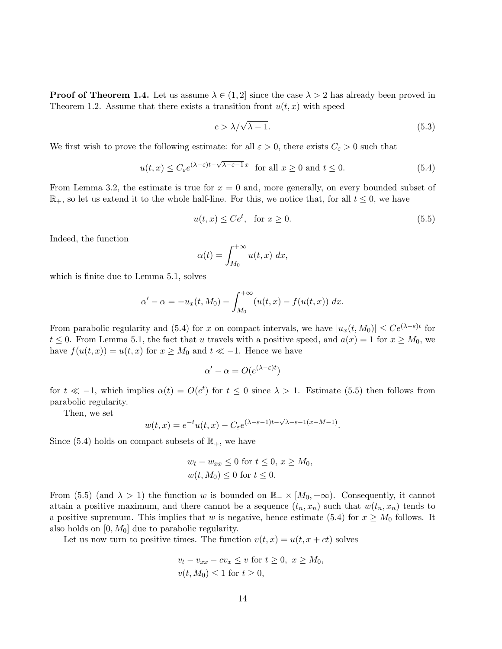**Proof of Theorem 1.4.** Let us assume  $\lambda \in (1,2]$  since the case  $\lambda > 2$  has already been proved in Theorem 1.2. Assume that there exists a transition front  $u(t, x)$  with speed

$$
c > \lambda/\sqrt{\lambda - 1}.\tag{5.3}
$$

We first wish to prove the following estimate: for all  $\varepsilon > 0$ , there exists  $C_{\varepsilon} > 0$  such that

$$
u(t,x) \le C_{\varepsilon} e^{(\lambda - \varepsilon)t - \sqrt{\lambda - \varepsilon - 1}x} \quad \text{for all } x \ge 0 \text{ and } t \le 0.
$$
 (5.4)

From Lemma 3.2, the estimate is true for  $x = 0$  and, more generally, on every bounded subset of  $\mathbb{R}_+$ , so let us extend it to the whole half-line. For this, we notice that, for all  $t \leq 0$ , we have

$$
u(t,x) \le Ce^t, \quad \text{for } x \ge 0. \tag{5.5}
$$

Indeed, the function

$$
\alpha(t) = \int_{M_0}^{+\infty} u(t, x) \, dx,
$$

which is finite due to Lemma 5.1, solves

$$
\alpha' - \alpha = -u_x(t, M_0) - \int_{M_0}^{+\infty} (u(t, x) - f(u(t, x)) dx.
$$

From parabolic regularity and (5.4) for x on compact intervals, we have  $|u_x(t, M_0)| \le Ce^{(\lambda - \varepsilon)t}$  for  $t \leq 0$ . From Lemma 5.1, the fact that u travels with a positive speed, and  $a(x) = 1$  for  $x \geq M_0$ , we have  $f(u(t, x)) = u(t, x)$  for  $x \geq M_0$  and  $t \ll -1$ . Hence we have

$$
\alpha' - \alpha = O(e^{(\lambda - \varepsilon)t})
$$

for  $t \ll -1$ , which implies  $\alpha(t) = O(e^t)$  for  $t \leq 0$  since  $\lambda > 1$ . Estimate (5.5) then follows from parabolic regularity.

Then, we set

$$
w(t,x) = e^{-t}u(t,x) - C_{\varepsilon}e^{(\lambda - \varepsilon - 1)t - \sqrt{\lambda - \varepsilon - 1}(x - M - 1)}.
$$

Since (5.4) holds on compact subsets of  $\mathbb{R}_+$ , we have

$$
w_t - w_{xx} \le 0 \text{ for } t \le 0, x \ge M_0,
$$
  

$$
w(t, M_0) \le 0 \text{ for } t \le 0.
$$

From (5.5) (and  $\lambda > 1$ ) the function w is bounded on  $\mathbb{R}_{-} \times [M_0, +\infty)$ . Consequently, it cannot attain a positive maximum, and there cannot be a sequence  $(t_n, x_n)$  such that  $w(t_n, x_n)$  tends to a positive supremum. This implies that w is negative, hence estimate (5.4) for  $x \geq M_0$  follows. It also holds on  $[0, M_0]$  due to parabolic regularity.

Let us now turn to positive times. The function  $v(t, x) = u(t, x + ct)$  solves

$$
v_t - v_{xx} - cv_x \le v \text{ for } t \ge 0, \ x \ge M_0,
$$
  

$$
v(t, M_0) \le 1 \text{ for } t \ge 0,
$$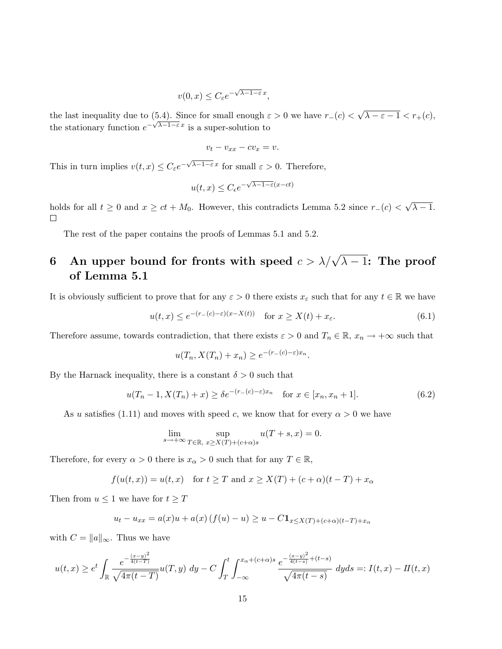$$
v(0, x) \le C_{\varepsilon} e^{-\sqrt{\lambda - 1 - \varepsilon} x},
$$

the last inequality due to (5.4). Since for small enough  $\varepsilon > 0$  we have  $r_-(c) <$ √  $\lambda - \varepsilon - 1 < r_+(c),$ the stationary function  $e^{-\sqrt{\lambda-1-\epsilon}x}$  is a super-solution to

$$
v_t - v_{xx} - cv_x = v.
$$

This in turn implies  $v(t, x) \leq C_{\varepsilon} e^{-\sqrt{\lambda - 1 - \varepsilon} x}$  for small  $\varepsilon > 0$ . Therefore,

$$
u(t,x) \le C_{\epsilon} e^{-\sqrt{\lambda - 1 - \varepsilon}(x - ct)}
$$

√ holds for all  $t \ge 0$  and  $x \ge ct + M_0$ . However, this contradicts Lemma 5.2 since  $r_-(c)$  <  $\lambda - 1.$  $\Box$ 

The rest of the paper contains the proofs of Lemmas 5.1 and 5.2.

# 6 An upper bound for fronts with speed  $c > \lambda/\sqrt{\lambda-1}$ : The proof of Lemma 5.1

It is obviously sufficient to prove that for any  $\varepsilon > 0$  there exists  $x_{\varepsilon}$  such that for any  $t \in \mathbb{R}$  we have

$$
u(t,x) \le e^{-(r_-(c)-\varepsilon)(x-X(t))} \quad \text{for } x \ge X(t) + x_{\varepsilon}.\tag{6.1}
$$

Therefore assume, towards contradiction, that there exists  $\varepsilon > 0$  and  $T_n \in \mathbb{R}$ ,  $x_n \to +\infty$  such that

$$
u(T_n, X(T_n) + x_n) \ge e^{-(r_-(c) - \varepsilon)x_n}.
$$

By the Harnack inequality, there is a constant  $\delta > 0$  such that

$$
u(T_n - 1, X(T_n) + x) \ge \delta e^{-(r_-(c) - \varepsilon)x_n} \quad \text{for } x \in [x_n, x_n + 1].
$$
 (6.2)

As u satisfies (1.11) and moves with speed c, we know that for every  $\alpha > 0$  we have

$$
\lim_{s \to +\infty} \sup_{T \in \mathbb{R}, x \ge X(T) + (c+\alpha)s} u(T+s, x) = 0.
$$

Therefore, for every  $\alpha > 0$  there is  $x_{\alpha} > 0$  such that for any  $T \in \mathbb{R}$ ,

$$
f(u(t,x)) = u(t,x) \quad \text{for } t \geq T \text{ and } x \geq X(T) + (c+\alpha)(t-T) + x_{\alpha}
$$

Then from  $u \leq 1$  we have for  $t \geq T$ 

$$
u_t - u_{xx} = a(x)u + a(x) (f(u) - u) \ge u - C \mathbf{1}_{x \le X(T) + (c+a)(t-T) + x_\alpha}
$$

with  $C = ||a||_{\infty}$ . Thus we have

$$
u(t,x) \ge e^t \int_{\mathbb{R}} \frac{e^{-\frac{(x-y)^2}{4(t-T)}}}{\sqrt{4\pi(t-T)}} u(T,y) dy - C \int_T^t \int_{-\infty}^{x_\alpha + (c+\alpha)s} \frac{e^{-\frac{(x-y)^2}{4(t-s)} + (t-s)}}{\sqrt{4\pi(t-s)}} dy ds =: I(t,x) - I(t,x)
$$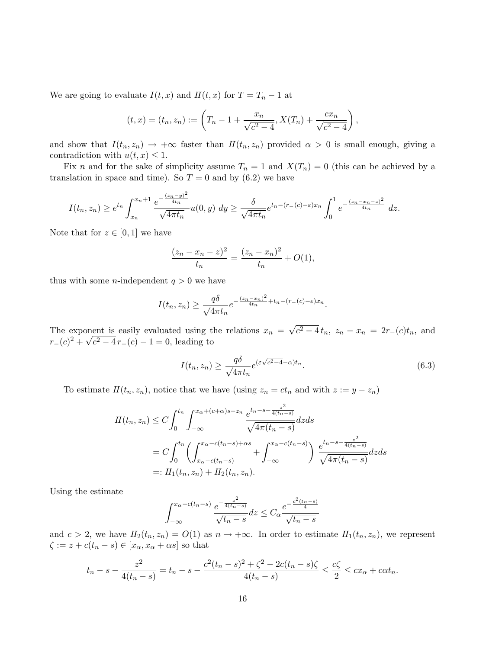We are going to evaluate  $I(t, x)$  and  $II(t, x)$  for  $T = T_n - 1$  at

$$
(t,x) = (t_n, z_n) := \left(T_n - 1 + \frac{x_n}{\sqrt{c^2 - 4}}, X(T_n) + \frac{cx_n}{\sqrt{c^2 - 4}}\right),
$$

and show that  $I(t_n, z_n) \to +\infty$  faster than  $I(t_n, z_n)$  provided  $\alpha > 0$  is small enough, giving a contradiction with  $u(t, x) \leq 1$ .

Fix n and for the sake of simplicity assume  $T_n = 1$  and  $X(T_n) = 0$  (this can be achieved by a translation in space and time). So  $T = 0$  and by  $(6.2)$  we have

$$
I(t_n, z_n) \ge e^{t_n} \int_{x_n}^{x_n+1} \frac{e^{-\frac{(z_n-y)^2}{4t_n}}}{\sqrt{4\pi t_n}} u(0, y) dy \ge \frac{\delta}{\sqrt{4\pi t_n}} e^{t_n - (r_-(c) - \varepsilon)x_n} \int_0^1 e^{-\frac{(z_n - z_n - z)^2}{4t_n}} dz.
$$

Note that for  $z \in [0,1]$  we have

$$
\frac{(z_n - x_n - z)^2}{t_n} = \frac{(z_n - x_n)^2}{t_n} + O(1),
$$

thus with some *n*-independent  $q > 0$  we have

$$
I(t_n, z_n) \ge \frac{q\delta}{\sqrt{4\pi t_n}} e^{-\frac{(z_n - x_n)^2}{4t_n} + t_n - (r_-(c) - \varepsilon)x_n}.
$$

The exponent is easily evaluated using the relations  $x_n =$ √  $\overline{c^2 - 4t_n}$ ,  $z_n - x_n = 2r_-(c)t_n$ , and The exponsion  $r_-(c)^2 + \sqrt{c^2 + \sqrt{c^2}}$  $c^2 - 4r - c$  – 1 = 0, leading to

$$
I(t_n, z_n) \ge \frac{q\delta}{\sqrt{4\pi t_n}} e^{(\varepsilon\sqrt{c^2 - 4} - \alpha)t_n}.
$$
\n(6.3)

To estimate  $II(t_n, z_n)$ , notice that we have (using  $z_n = ct_n$  and with  $z := y - z_n$ )

$$
II(t_n, z_n) \le C \int_0^{t_n} \int_{-\infty}^{x_\alpha + (c+\alpha)s - z_n} \frac{e^{t_n - s - \frac{z^2}{4(t_n - s)}}}{\sqrt{4\pi (t_n - s)}} dz ds
$$
  
=  $C \int_0^{t_n} \left( \int_{x_\alpha - c(t_n - s)}^{x_\alpha - c(t_n - s) + \alpha s} + \int_{-\infty}^{x_\alpha - c(t_n - s)} \right) \frac{e^{t_n - s - \frac{z^2}{4(t_n - s)}}}{\sqrt{4\pi (t_n - s)}} dz ds$   
=:  $\iint_1(t_n, z_n) + \iint_2(t_n, z_n).$ 

Using the estimate

$$
\int_{-\infty}^{x_{\alpha} - c(t_n - s)} \frac{e^{-\frac{z^2}{4(t_n - s)}}}{\sqrt{t_n - s}} dz \le C_{\alpha} \frac{e^{-\frac{c^2(t_n - s)}{4}}}{\sqrt{t_n - s}}
$$

and  $c > 2$ , we have  $II_2(t_n, z_n) = O(1)$  as  $n \to +\infty$ . In order to estimate  $II_1(t_n, z_n)$ , we represent  $\zeta := z + c(t_n - s) \in [x_\alpha, x_\alpha + \alpha s]$  so that

$$
t_n - s - \frac{z^2}{4(t_n - s)} = t_n - s - \frac{c^2(t_n - s)^2 + \zeta^2 - 2c(t_n - s)\zeta}{4(t_n - s)} \le \frac{c\zeta}{2} \le cx_\alpha + c\alpha t_n.
$$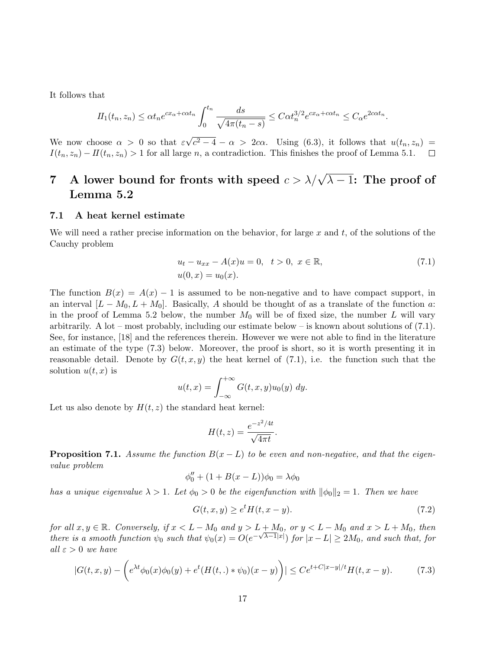It follows that

$$
II_1(t_n, z_n) \le \alpha t_n e^{cx_\alpha + c\alpha t_n} \int_0^{t_n} \frac{ds}{\sqrt{4\pi (t_n - s)}} \le C\alpha t_n^{3/2} e^{cx_\alpha + c\alpha t_n} \le C_\alpha e^{2c\alpha t_n}
$$

√  $\overline{c^2-4} - \alpha > 2c\alpha$ . Using (6.3), it follows that  $u(t_n, z_n) =$ We now choose  $\alpha > 0$  so that  $\varepsilon$  $I(t_n, z_n) - II(t_n, z_n) > 1$  for all large n, a contradiction. This finishes the proof of Lemma 5.1.  $\Box$ 

# 7 A lower bound for fronts with speed  $c > \lambda/\sqrt{\lambda-1}$ : The proof of Lemma 5.2

### 7.1 A heat kernel estimate

We will need a rather precise information on the behavior, for large x and t, of the solutions of the Cauchy problem

$$
u_t - u_{xx} - A(x)u = 0, \quad t > 0, \quad x \in \mathbb{R},
$$
  
\n
$$
u(0, x) = u_0(x).
$$
\n(7.1)

.

The function  $B(x) = A(x) - 1$  is assumed to be non-negative and to have compact support, in an interval  $[L - M_0, L + M_0]$ . Basically, A should be thought of as a translate of the function a: in the proof of Lemma 5.2 below, the number  $M_0$  will be of fixed size, the number L will vary arbitrarily. A lot – most probably, including our estimate below – is known about solutions of  $(7.1)$ . See, for instance, [18] and the references therein. However we were not able to find in the literature an estimate of the type (7.3) below. Moreover, the proof is short, so it is worth presenting it in reasonable detail. Denote by  $G(t, x, y)$  the heat kernel of (7.1), i.e. the function such that the solution  $u(t, x)$  is

$$
u(t,x) = \int_{-\infty}^{+\infty} G(t,x,y)u_0(y) dy.
$$

Let us also denote by  $H(t, z)$  the standard heat kernel:

$$
H(t,z) = \frac{e^{-z^2/4t}}{\sqrt{4\pi t}}.
$$

**Proposition 7.1.** Assume the function  $B(x - L)$  to be even and non-negative, and that the eigenvalue problem

$$
\phi_0'' + (1 + B(x - L))\phi_0 = \lambda \phi_0
$$

has a unique eigenvalue  $\lambda > 1$ . Let  $\phi_0 > 0$  be the eigenfunction with  $\|\phi_0\|_2 = 1$ . Then we have

$$
G(t, x, y) \ge e^t H(t, x - y). \tag{7.2}
$$

for all  $x, y \in \mathbb{R}$ . Conversely, if  $x < L - M_0$  and  $y > L + M_0$ , or  $y < L - M_0$  and  $x > L + M_0$ , then there is a smooth function  $\psi_0$  such that  $\psi_0(x) = O(e^{-\sqrt{\lambda-1}|x|})$  for  $|x-L| \ge 2M_0$ , and such that, for all  $\varepsilon > 0$  we have

$$
|G(t, x, y) - \left(e^{\lambda t} \phi_0(x)\phi_0(y) + e^t (H(t, .) * \psi_0)(x - y)\right)| \le Ce^{t + C|x - y|/t} H(t, x - y).
$$
 (7.3)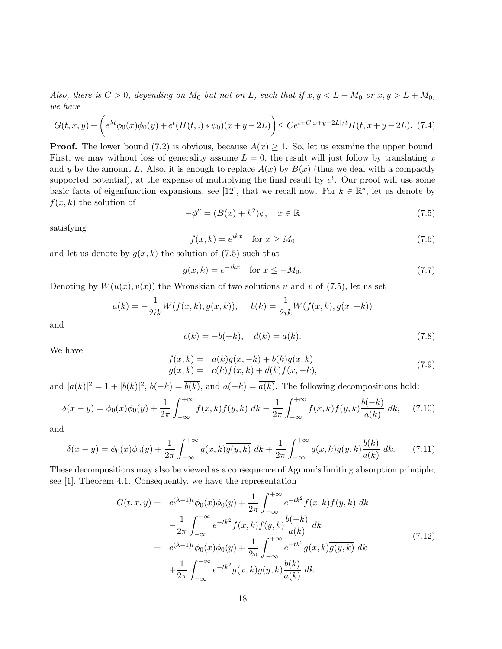Also, there is  $C > 0$ , depending on  $M_0$  but not on L, such that if  $x, y < L - M_0$  or  $x, y > L + M_0$ , we have

$$
G(t, x, y) - \left(e^{\lambda t} \phi_0(x)\phi_0(y) + e^t (H(t, .) * \psi_0)(x + y - 2L)\right) \le Ce^{t + C|x + y - 2L|/t} H(t, x + y - 2L). \tag{7.4}
$$

**Proof.** The lower bound (7.2) is obvious, because  $A(x) \geq 1$ . So, let us examine the upper bound. First, we may without loss of generality assume  $L = 0$ , the result will just follow by translating x and y by the amount L. Also, it is enough to replace  $A(x)$  by  $B(x)$  (thus we deal with a compactly supported potential), at the expense of multiplying the final result by  $e^t$ . Our proof will use some basic facts of eigenfunction expansions, see [12], that we recall now. For  $k \in \mathbb{R}^*$ , let us denote by  $f(x, k)$  the solution of

$$
-\phi'' = (B(x) + k^2)\phi, \quad x \in \mathbb{R}
$$
\n
$$
(7.5)
$$

satisfying

$$
f(x,k) = e^{ikx} \quad \text{for } x \ge M_0 \tag{7.6}
$$

and let us denote by  $g(x, k)$  the solution of (7.5) such that

$$
g(x,k) = e^{-ikx} \quad \text{for } x \le -M_0. \tag{7.7}
$$

Denoting by  $W(u(x), v(x))$  the Wronskian of two solutions u and v of (7.5), let us set

$$
a(k) = -\frac{1}{2ik}W(f(x,k),g(x,k)), \qquad b(k) = \frac{1}{2ik}W(f(x,k),g(x,-k))
$$

and

$$
c(k) = -b(-k), \quad d(k) = a(k). \tag{7.8}
$$

We have

$$
f(x,k) = a(k)g(x,-k) + b(k)g(x,k)
$$
  
\n
$$
g(x,k) = c(k)f(x,k) + d(k)f(x,-k),
$$
\n(7.9)

and  $|a(k)|^2 = 1 + |b(k)|^2$ ,  $b(-k) = \overline{b(k)}$ , and  $a(-k) = \overline{a(k)}$ . The following decompositions hold:

$$
\delta(x - y) = \phi_0(x)\phi_0(y) + \frac{1}{2\pi} \int_{-\infty}^{+\infty} f(x, k) \overline{f(y, k)} \, dk - \frac{1}{2\pi} \int_{-\infty}^{+\infty} f(x, k) f(y, k) \frac{b(-k)}{a(k)} \, dk,\tag{7.10}
$$

and

$$
\delta(x - y) = \phi_0(x)\phi_0(y) + \frac{1}{2\pi} \int_{-\infty}^{+\infty} g(x, k)\overline{g(y, k)} \, dk + \frac{1}{2\pi} \int_{-\infty}^{+\infty} g(x, k)g(y, k)\frac{b(k)}{a(k)} \, dk. \tag{7.11}
$$

These decompositions may also be viewed as a consequence of Agmon's limiting absorption principle, see [1], Theorem 4.1. Consequently, we have the representation

$$
G(t, x, y) = e^{(\lambda - 1)t} \phi_0(x) \phi_0(y) + \frac{1}{2\pi} \int_{-\infty}^{+\infty} e^{-tk^2} f(x, k) \overline{f(y, k)} \, dk
$$
  

$$
- \frac{1}{2\pi} \int_{-\infty}^{+\infty} e^{-tk^2} f(x, k) f(y, k) \frac{b(-k)}{a(k)} \, dk
$$
  

$$
= e^{(\lambda - 1)t} \phi_0(x) \phi_0(y) + \frac{1}{2\pi} \int_{-\infty}^{+\infty} e^{-tk^2} g(x, k) \overline{g(y, k)} \, dk
$$
  

$$
+ \frac{1}{2\pi} \int_{-\infty}^{+\infty} e^{-tk^2} g(x, k) g(y, k) \frac{b(k)}{a(k)} \, dk.
$$
 (7.12)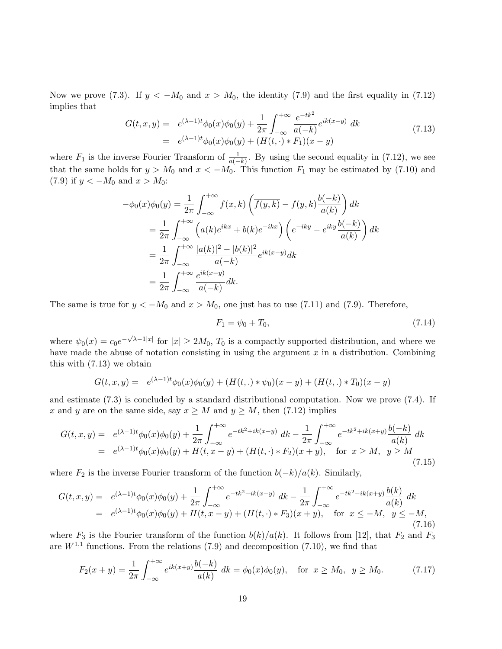Now we prove (7.3). If  $y < -M_0$  and  $x > M_0$ , the identity (7.9) and the first equality in (7.12) implies that

$$
G(t, x, y) = e^{(\lambda - 1)t} \phi_0(x) \phi_0(y) + \frac{1}{2\pi} \int_{-\infty}^{+\infty} \frac{e^{-tk^2}}{a(-k)} e^{ik(x-y)} dk
$$
  
=  $e^{(\lambda - 1)t} \phi_0(x) \phi_0(y) + (H(t, \cdot) * F_1)(x - y)$  (7.13)

where  $F_1$  is the inverse Fourier Transform of  $\frac{1}{a(-k)}$ . By using the second equality in (7.12), we see that the same holds for  $y > M_0$  and  $x < -M_0$ . This function  $F_1$  may be estimated by (7.10) and (7.9) if  $y < -M_0$  and  $x > M_0$ :

$$
-\phi_0(x)\phi_0(y) = \frac{1}{2\pi} \int_{-\infty}^{+\infty} f(x,k) \left( \overline{f(y,k)} - f(y,k) \frac{b(-k)}{a(k)} \right) dk
$$
  
\n
$$
= \frac{1}{2\pi} \int_{-\infty}^{+\infty} \left( a(k)e^{ikx} + b(k)e^{-ikx} \right) \left( e^{-iky} - e^{iky} \frac{b(-k)}{a(k)} \right) dk
$$
  
\n
$$
= \frac{1}{2\pi} \int_{-\infty}^{+\infty} \frac{|a(k)|^2 - |b(k)|^2}{a(-k)} e^{ik(x-y)} dk
$$
  
\n
$$
= \frac{1}{2\pi} \int_{-\infty}^{+\infty} \frac{e^{ik(x-y)}}{a(-k)} dk.
$$

The same is true for  $y < -M_0$  and  $x > M_0$ , one just has to use (7.11) and (7.9). Therefore,

$$
F_1 = \psi_0 + T_0,\tag{7.14}
$$

where  $\psi_0(x) = c_0 e^{-\sqrt{\lambda-1}|x|}$  for  $|x| \ge 2M_0$ ,  $T_0$  is a compactly supported distribution, and where we have made the abuse of notation consisting in using the argument  $x$  in a distribution. Combining this with (7.13) we obtain

$$
G(t, x, y) = e^{(\lambda - 1)t} \phi_0(x) \phi_0(y) + (H(t, .) * \psi_0)(x - y) + (H(t, .) * T_0)(x - y)
$$

and estimate (7.3) is concluded by a standard distributional computation. Now we prove (7.4). If x and y are on the same side, say  $x \geq M$  and  $y \geq M$ , then (7.12) implies

$$
G(t, x, y) = e^{(\lambda - 1)t} \phi_0(x) \phi_0(y) + \frac{1}{2\pi} \int_{-\infty}^{+\infty} e^{-tk^2 + ik(x-y)} dk - \frac{1}{2\pi} \int_{-\infty}^{+\infty} e^{-tk^2 + ik(x+y)} \frac{b(-k)}{a(k)} dk
$$
  
=  $e^{(\lambda - 1)t} \phi_0(x) \phi_0(y) + H(t, x - y) + (H(t, \cdot) * F_2)(x + y)$ , for  $x \ge M$ ,  $y \ge M$  (7.15)

where  $F_2$  is the inverse Fourier transform of the function  $b(-k)/a(k)$ . Similarly,

$$
G(t, x, y) = e^{(\lambda - 1)t} \phi_0(x) \phi_0(y) + \frac{1}{2\pi} \int_{-\infty}^{+\infty} e^{-tk^2 - ik(x - y)} dk - \frac{1}{2\pi} \int_{-\infty}^{+\infty} e^{-tk^2 - ik(x + y)} \frac{b(k)}{a(k)} dk
$$
  
=  $e^{(\lambda - 1)t} \phi_0(x) \phi_0(y) + H(t, x - y) + (H(t, \cdot) * F_3)(x + y)$ , for  $x \le -M, y \le -M,$  (7.16)

where  $F_3$  is the Fourier transform of the function  $b(k)/a(k)$ . It follows from [12], that  $F_2$  and  $F_3$ are  $W^{1,1}$  functions. From the relations (7.9) and decomposition (7.10), we find that

$$
F_2(x+y) = \frac{1}{2\pi} \int_{-\infty}^{+\infty} e^{ik(x+y)} \frac{b(-k)}{a(k)} dk = \phi_0(x)\phi_0(y), \text{ for } x \ge M_0, y \ge M_0.
$$
 (7.17)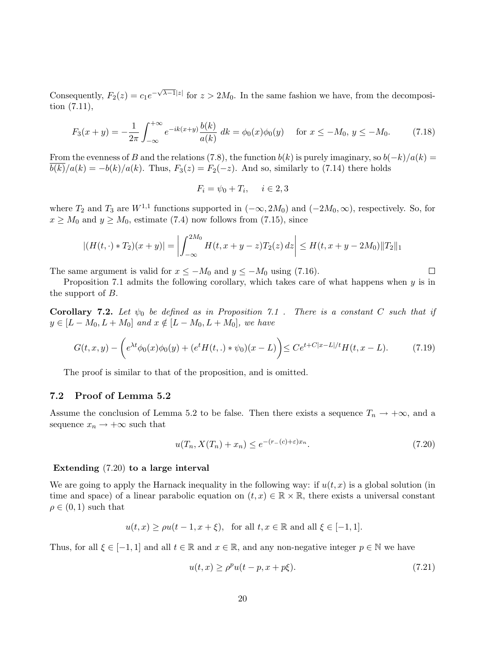Consequently,  $F_2(z) = c_1 e^{-\sqrt{\lambda-1}|z|}$  for  $z > 2M_0$ . In the same fashion we have, from the decomposition (7.11),

$$
F_3(x+y) = -\frac{1}{2\pi} \int_{-\infty}^{+\infty} e^{-ik(x+y)} \frac{b(k)}{a(k)} \, dk = \phi_0(x)\phi_0(y) \quad \text{for } x \le -M_0, \ y \le -M_0. \tag{7.18}
$$

From the evenness of B and the relations (7.8), the function  $b(k)$  is purely imaginary, so  $b(-k)/a(k) =$  $\overline{b(k)}/a(k) = -b(k)/a(k)$ . Thus,  $F_3(z) = F_2(-z)$ . And so, similarly to (7.14) there holds

$$
F_i = \psi_0 + T_i, \quad i \in 2, 3
$$

where  $T_2$  and  $T_3$  are  $W^{1,1}$  functions supported in  $(-\infty, 2M_0)$  and  $(-2M_0, \infty)$ , respectively. So, for  $x \geq M_0$  and  $y \geq M_0$ , estimate (7.4) now follows from (7.15), since

$$
|(H(t,\cdot)*T_2)(x+y)| = \left|\int_{-\infty}^{2M_0} H(t,x+y-z)T_2(z) dz\right| \leq H(t,x+y-2M_0) ||T_2||_1
$$

The same argument is valid for  $x \leq -M_0$  and  $y \leq -M_0$  using (7.16).

Proposition 7.1 admits the following corollary, which takes care of what happens when  $y$  is in the support of B.

**Corollary 7.2.** Let  $\psi_0$  be defined as in Proposition 7.1. There is a constant C such that if  $y \in [L-M_0, L+M_0]$  and  $x \notin [L-M_0, L+M_0]$ , we have

$$
G(t, x, y) - \left(e^{\lambda t} \phi_0(x)\phi_0(y) + (e^t H(t, .) * \psi_0)(x - L)\right) \le Ce^{t + C|x - L|/t} H(t, x - L).
$$
 (7.19)

The proof is similar to that of the proposition, and is omitted.

### 7.2 Proof of Lemma 5.2

Assume the conclusion of Lemma 5.2 to be false. Then there exists a sequence  $T_n \to +\infty$ , and a sequence  $x_n \to +\infty$  such that

$$
u(T_n, X(T_n) + x_n) \le e^{-(r_-(c) + \varepsilon)x_n}.\tag{7.20}
$$

 $\Box$ 

### Extending (7.20) to a large interval

We are going to apply the Harnack inequality in the following way: if  $u(t, x)$  is a global solution (in time and space) of a linear parabolic equation on  $(t, x) \in \mathbb{R} \times \mathbb{R}$ , there exists a universal constant  $\rho \in (0,1)$  such that

$$
u(t, x) \ge \rho u(t - 1, x + \xi)
$$
, for all  $t, x \in \mathbb{R}$  and all  $\xi \in [-1, 1]$ .

Thus, for all  $\xi \in [-1,1]$  and all  $t \in \mathbb{R}$  and  $x \in \mathbb{R}$ , and any non-negative integer  $p \in \mathbb{N}$  we have

$$
u(t,x) \ge \rho^p u(t-p, x+p\xi). \tag{7.21}
$$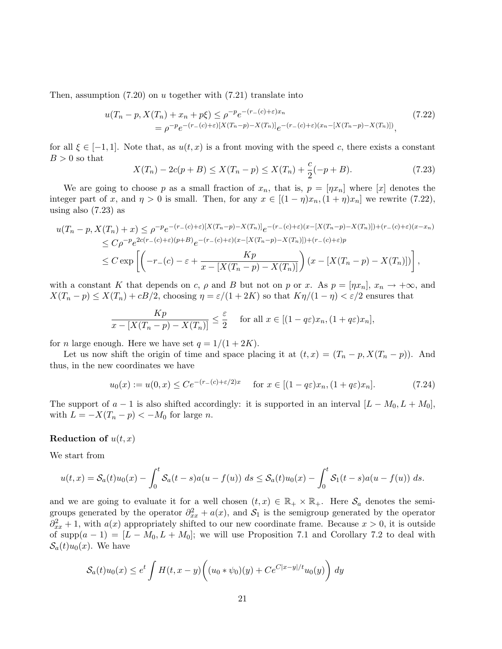Then, assumption  $(7.20)$  on u together with  $(7.21)$  translate into

$$
u(T_n - p, X(T_n) + x_n + p\xi) \le \rho^{-p} e^{-(r_-(c) + \varepsilon)x_n}
$$
  
=  $\rho^{-p} e^{-(r_-(c) + \varepsilon)[X(T_n - p) - X(T_n)]} e^{-(r_-(c) + \varepsilon)(x_n - [X(T_n - p) - X(T_n)])},$  (7.22)

for all  $\xi \in [-1, 1]$ . Note that, as  $u(t, x)$  is a front moving with the speed c, there exists a constant  $B > 0$  so that

$$
X(T_n) - 2c(p+B) \le X(T_n - p) \le X(T_n) + \frac{c}{2}(-p+B). \tag{7.23}
$$

We are going to choose p as a small fraction of  $x_n$ , that is,  $p = [\eta x_n]$  where [x] denotes the integer part of x, and  $\eta > 0$  is small. Then, for any  $x \in [(1 - \eta)x_n, (1 + \eta)x_n]$  we rewrite (7.22), using also (7.23) as

$$
u(T_n - p, X(T_n) + x) \le \rho^{-p} e^{-(r_-(c) + \varepsilon)[X(T_n - p) - X(T_n)]} e^{-(r_-(c) + \varepsilon)(x - [X(T_n - p) - X(T_n)]) + (r_-(c) + \varepsilon)(x - x_n)]}
$$
  
\n
$$
\le C\rho^{-p} e^{2c(r_-(c) + \varepsilon)(p + B)} e^{-(r_-(c) + \varepsilon)(x - [X(T_n - p) - X(T_n)]) + (r_-(c) + \varepsilon)p}
$$
  
\n
$$
\le C \exp\left[ \left( -r_-(c) - \varepsilon + \frac{Kp}{x - [X(T_n - p) - X(T_n)]} \right) (x - [X(T_n - p) - X(T_n)]) \right],
$$

with a constant K that depends on c,  $\rho$  and B but not on p or x. As  $p = [\eta x_n], x_n \to +\infty$ , and  $X(T_n - p) \leq X(T_n) + cB/2$ , choosing  $\eta = \varepsilon/(1 + 2K)$  so that  $K\eta/(1 - \eta) < \varepsilon/2$  ensures that

$$
\frac{Kp}{x - [X(T_n - p) - X(T_n)]} \le \frac{\varepsilon}{2} \quad \text{for all } x \in [(1 - q\varepsilon)x_n, (1 + q\varepsilon)x_n],
$$

for *n* large enough. Here we have set  $q = 1/(1 + 2K)$ .

Let us now shift the origin of time and space placing it at  $(t, x) = (T_n - p, X(T_n - p))$ . And thus, in the new coordinates we have

$$
u_0(x) := u(0, x) \le Ce^{-(r_-(c) + \varepsilon/2)x} \quad \text{for } x \in [(1 - q\varepsilon)x_n, (1 + q\varepsilon)x_n].\tag{7.24}
$$

The support of  $a - 1$  is also shifted accordingly: it is supported in an interval  $[L - M_0, L + M_0]$ , with  $L = -X(T_n - p) < -M_0$  for large *n*.

### Reduction of  $u(t, x)$

We start from

$$
u(t,x) = S_a(t)u_0(x) - \int_0^t S_a(t-s)a(u-f(u)) ds \le S_a(t)u_0(x) - \int_0^t S_1(t-s)a(u-f(u)) ds.
$$

and we are going to evaluate it for a well chosen  $(t, x) \in \mathbb{R}_+ \times \mathbb{R}_+$ . Here  $\mathcal{S}_a$  denotes the semigroups generated by the operator  $\partial_{xx}^2 + a(x)$ , and  $S_1$  is the semigroup generated by the operator  $\partial_{xx}^2 + 1$ , with  $a(x)$  appropriately shifted to our new coordinate frame. Because  $x > 0$ , it is outside of supp $(a-1) = [L - M_0, L + M_0]$ ; we will use Proposition 7.1 and Corollary 7.2 to deal with  $S_a(t)u_0(x)$ . We have

$$
S_a(t)u_0(x) \le e^t \int H(t, x - y) \bigg( (u_0 * \psi_0)(y) + C e^{C|x - y|/t} u_0(y) \bigg) dy
$$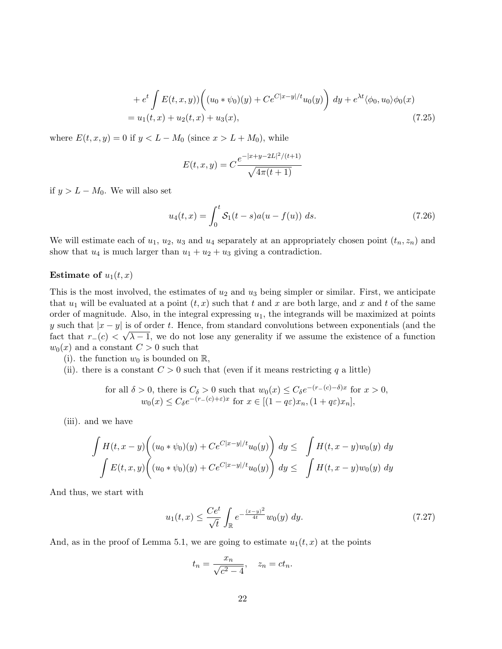+ 
$$
e^t \int E(t, x, y) \left( (u_0 * \psi_0)(y) + Ce^{C|x-y|/t} u_0(y) \right) dy + e^{\lambda t} \langle \phi_0, u_0 \rangle \phi_0(x)
$$
  
=  $u_1(t, x) + u_2(t, x) + u_3(x),$  (7.25)

where  $E(t, x, y) = 0$  if  $y < L - M_0$  (since  $x > L + M_0$ ), while

$$
E(t, x, y) = C \frac{e^{-|x+y-2L|^2/(t+1)}}{\sqrt{4\pi(t+1)}}
$$

if  $y > L - M_0$ . We will also set

$$
u_4(t,x) = \int_0^t \mathcal{S}_1(t-s)a(u - f(u)) ds.
$$
 (7.26)

We will estimate each of  $u_1, u_2, u_3$  and  $u_4$  separately at an appropriately chosen point  $(t_n, z_n)$  and show that  $u_4$  is much larger than  $u_1 + u_2 + u_3$  giving a contradiction.

### Estimate of  $u_1(t, x)$

This is the most involved, the estimates of  $u_2$  and  $u_3$  being simpler or similar. First, we anticipate that  $u_1$  will be evaluated at a point  $(t, x)$  such that t and x are both large, and x and t of the same order of magnitude. Also, in the integral expressing  $u_1$ , the integrands will be maximized at points y such that  $|x-y|$  is of order t. Hence, from standard convolutions between exponentials (and the fact that  $r_-(c) < \sqrt{\lambda - 1}$ , we do not lose any generality if we assume the existence of a function  $w_0(x)$  and a constant  $C > 0$  such that

- (i). the function  $w_0$  is bounded on  $\mathbb{R}$ ,
- (ii). there is a constant  $C > 0$  such that (even if it means restricting q a little)

for all 
$$
\delta > 0
$$
, there is  $C_{\delta} > 0$  such that  $w_0(x) \leq C_{\delta}e^{-(r_{-}(c)-\delta)x}$  for  $x > 0$ ,  
\n $w_0(x) \leq C_{\delta}e^{-(r_{-}(c)+\varepsilon)x}$  for  $x \in [(1-q\varepsilon)x_n, (1+q\varepsilon)x_n]$ ,

(iii). and we have

$$
\int H(t, x - y) \left( (u_0 * \psi_0)(y) + Ce^{C|x-y|/t} u_0(y) \right) dy \leq \int H(t, x - y) w_0(y) dy
$$
  

$$
\int E(t, x, y) \left( (u_0 * \psi_0)(y) + Ce^{C|x-y|/t} u_0(y) \right) dy \leq \int H(t, x - y) w_0(y) dy
$$

And thus, we start with

$$
u_1(t,x) \le \frac{Ce^t}{\sqrt{t}} \int_{\mathbb{R}} e^{-\frac{(x-y)^2}{4t}} w_0(y) \, dy. \tag{7.27}
$$

And, as in the proof of Lemma 5.1, we are going to estimate  $u_1(t, x)$  at the points

$$
t_n = \frac{x_n}{\sqrt{c^2 - 4}}, \quad z_n = ct_n.
$$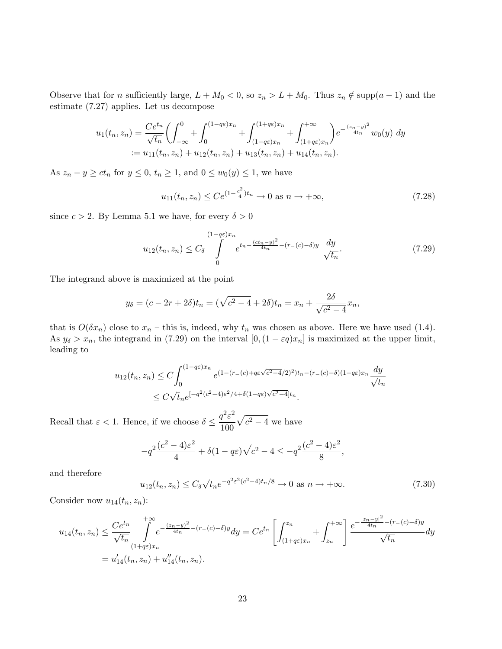Observe that for n sufficiently large,  $L + M_0 < 0$ , so  $z_n > L + M_0$ . Thus  $z_n \notin \text{supp}(a - 1)$  and the estimate (7.27) applies. Let us decompose

$$
u_1(t_n, z_n) = \frac{Ce^{t_n}}{\sqrt{t_n}} \left( \int_{-\infty}^0 + \int_0^{(1-q\varepsilon)x_n} + \int_{(1-q\varepsilon)x_n}^{(1+q\varepsilon)x_n} + \int_{(1+q\varepsilon)x_n}^{+\infty} \right) e^{-\frac{(z_n-y)^2}{4t_n}} w_0(y) dy
$$
  
 :=  $u_{11}(t_n, z_n) + u_{12}(t_n, z_n) + u_{13}(t_n, z_n) + u_{14}(t_n, z_n).$ 

As  $z_n - y \ge ct_n$  for  $y \le 0$ ,  $t_n \ge 1$ , and  $0 \le w_0(y) \le 1$ , we have

$$
u_{11}(t_n, z_n) \le Ce^{(1 - \frac{c^2}{4})t_n} \to 0 \text{ as } n \to +\infty,
$$
\n(7.28)

since  $c > 2$ . By Lemma 5.1 we have, for every  $\delta > 0$ 

$$
u_{12}(t_n, z_n) \le C_\delta \int\limits_0^{(1-q\varepsilon)x_n} e^{t_n - \frac{(ct_n - y)^2}{4t_n} - (r_-(c) - \delta)y} \frac{dy}{\sqrt{t_n}}.
$$
 (7.29)

The integrand above is maximized at the point

$$
y_{\delta} = (c - 2r + 2\delta)t_n = (\sqrt{c^2 - 4} + 2\delta)t_n = x_n + \frac{2\delta}{\sqrt{c^2 - 4}}x_n,
$$

that is  $O(\delta x_n)$  close to  $x_n$  – this is, indeed, why  $t_n$  was chosen as above. Here we have used (1.4). As  $y_{\delta} > x_n$ , the integrand in (7.29) on the interval  $[0,(1 - \varepsilon q)x_n]$  is maximized at the upper limit, leading to

$$
u_{12}(t_n, z_n) \le C \int_0^{(1-q\varepsilon)x_n} e^{(1-(r_-(c)+q\varepsilon\sqrt{c^2-4}/2)^2)t_n - (r_-(c)-\delta)(1-q\varepsilon)x_n} \frac{dy}{\sqrt{t_n}}
$$
  
 
$$
\le C\sqrt{t_n}e^{[-q^2(c^2-4)\varepsilon^2/4+\delta(1-q\varepsilon)\sqrt{c^2-4}]t_n}.
$$

Recall that  $\varepsilon < 1$ . Hence, if we choose  $\delta \leq \frac{q^2 \varepsilon^2}{100}$ 100  $\sqrt{c^2-4}$  we have

$$
-q^2\frac{(c^2-4)\varepsilon^2}{4} + \delta(1-q\varepsilon)\sqrt{c^2-4} \le -q^2\frac{(c^2-4)\varepsilon^2}{8},
$$

and therefore

$$
u_{12}(t_n, z_n) \le C_\delta \sqrt{t_n} e^{-q^2 \varepsilon^2 (c^2 - 4)t_n/8} \to 0 \text{ as } n \to +\infty.
$$
 (7.30)

Consider now  $u_{14}(t_n, z_n)$ :

$$
u_{14}(t_n, z_n) \le \frac{Ce^{t_n}}{\sqrt{t_n}} \int_{(1+q\varepsilon)x_n}^{+\infty} e^{-\frac{(z_n-y)^2}{4t_n} - (r_-(c)-\delta)y} dy = Ce^{t_n} \left[ \int_{(1+q\varepsilon)x_n}^{z_n} + \int_{z_n}^{+\infty} \right] \frac{e^{-\frac{|z_n-y|^2}{4t_n} - (r_-(c)-\delta)y}}{\sqrt{t_n}} dy
$$
  
=  $u'_{14}(t_n, z_n) + u''_{14}(t_n, z_n)$ .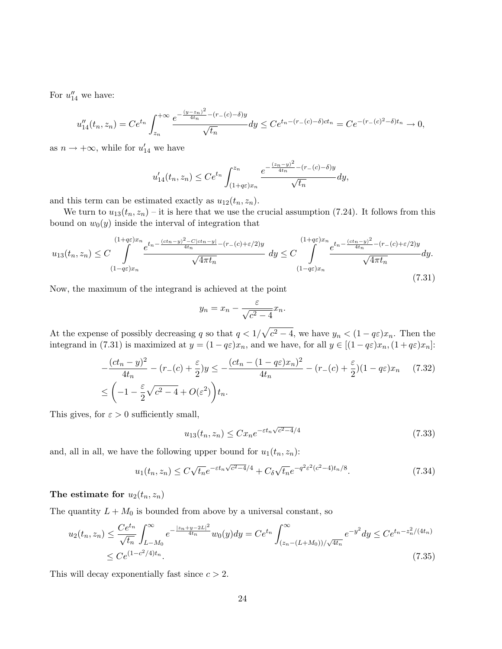For  $u''_{14}$  we have:

$$
u''_{14}(t_n, z_n) = Ce^{t_n} \int_{z_n}^{+\infty} \frac{e^{-\frac{(y-z_n)^2}{4t_n} - (r_-(c)-\delta)y}}{\sqrt{t_n}} dy \le Ce^{t_n - (r_-(c)-\delta)ct_n} = Ce^{-(r_-(c)^2 - \delta)t_n} \to 0,
$$

as  $n \to +\infty$ , while for  $u'_{14}$  we have

$$
u'_{14}(t_n, z_n) \le Ce^{t_n} \int_{(1+q\varepsilon)x_n}^{z_n} \frac{e^{-\frac{(z_n-y)^2}{4t_n} - (r_-(c)-\delta)y}}{\sqrt{t_n}} dy,
$$

and this term can be estimated exactly as  $u_{12}(t_n, z_n)$ .

We turn to  $u_{13}(t_n, z_n)$  – it is here that we use the crucial assumption (7.24). It follows from this bound on  $w_0(y)$  inside the interval of integration that

$$
u_{13}(t_n, z_n) \le C \int_{(1-q\varepsilon)x_n}^{(1+q\varepsilon)x_n} \frac{e^{t_n - \frac{(ct_n - y)^2 - C|ct_n - y|}{4t_n} - (r_-(c) + \varepsilon/2)y}}{\sqrt{4\pi t_n}} dy \le C \int_{(1-q\varepsilon)x_n}^{(1+q\varepsilon)x_n} \frac{e^{t_n - \frac{(ct_n - y)^2}{4t_n} - (r_-(c) + \varepsilon/2)y}}{\sqrt{4\pi t_n}} dy.
$$
\n(7.31)

Now, the maximum of the integrand is achieved at the point

$$
y_n = x_n - \frac{\varepsilon}{\sqrt{c^2 - 4}} x_n.
$$

At the expense of possibly decreasing q so that  $q < 1/\sqrt{c^2-4}$ , we have  $y_n < (1-q\varepsilon)x_n$ . Then the integrand in (7.31) is maximized at  $y = (1 - q\varepsilon)x_n$ , and we have, for all  $y \in [(1 - q\varepsilon)x_n, (1 + q\varepsilon)x_n]$ :

$$
-\frac{(ct_n-y)^2}{4t_n} - (r_-(c) + \frac{\varepsilon}{2})y \le -\frac{(ct_n - (1-q\varepsilon)x_n)^2}{4t_n} - (r_-(c) + \frac{\varepsilon}{2})(1-q\varepsilon)x_n \quad (7.32)
$$
  

$$
\le \left(-1 - \frac{\varepsilon}{2}\sqrt{c^2 - 4} + O(\varepsilon^2)\right)t_n.
$$

This gives, for  $\varepsilon > 0$  sufficiently small,

$$
u_{13}(t_n, z_n) \le C x_n e^{-\varepsilon t_n \sqrt{c^2 - 4}/4}
$$
\n(7.33)

and, all in all, we have the following upper bound for  $u_1(t_n, z_n)$ :

$$
u_1(t_n, z_n) \le C\sqrt{t_n}e^{-\varepsilon t_n\sqrt{c^2 - 4}/4} + C_\delta\sqrt{t_n}e^{-q^2\varepsilon^2(c^2 - 4)t_n/8}.\tag{7.34}
$$

### The estimate for  $u_2(t_n, z_n)$

The quantity  $L + M_0$  is bounded from above by a universal constant, so

$$
u_2(t_n, z_n) \le \frac{Ce^{t_n}}{\sqrt{t_n}} \int_{L-M_0}^{\infty} e^{-\frac{|z_n + y - 2L|^2}{4t_n}} w_0(y) dy = Ce^{t_n} \int_{(z_n - (L+M_0))/\sqrt{4t_n}}^{\infty} e^{-y^2} dy \le Ce^{t_n - z_n^2/(4t_n)}
$$
  
 
$$
\le Ce^{(1 - c^2/4)t_n}.
$$
 (7.35)

This will decay exponentially fast since  $c > 2$ .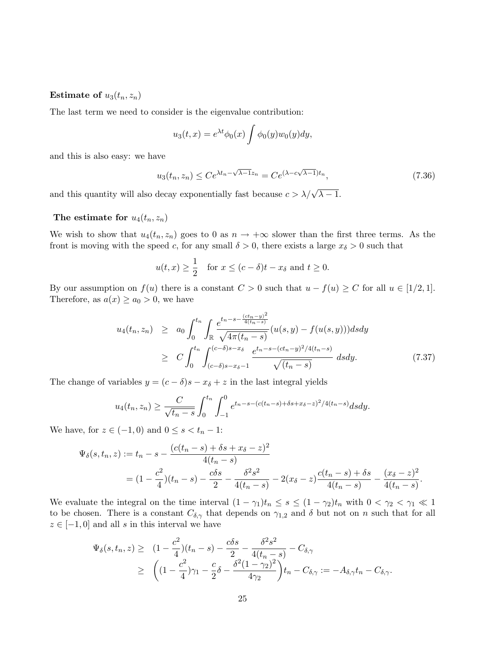Estimate of  $u_3(t_n, z_n)$ 

The last term we need to consider is the eigenvalue contribution:

$$
u_3(t,x) = e^{\lambda t} \phi_0(x) \int \phi_0(y) w_0(y) dy,
$$

and this is also easy: we have

$$
u_3(t_n, z_n) \le Ce^{\lambda t_n - \sqrt{\lambda - 1}z_n} = Ce^{(\lambda - c\sqrt{\lambda - 1})t_n},\tag{7.36}
$$

and this quantity will also decay exponentially fast because  $c > \lambda/\sqrt{\lambda - 1}$ .

### The estimate for  $u_4(t_n, z_n)$

We wish to show that  $u_4(t_n, z_n)$  goes to 0 as  $n \to +\infty$  slower than the first three terms. As the front is moving with the speed c, for any small  $\delta > 0$ , there exists a large  $x_{\delta} > 0$  such that

$$
u(t,x) \ge \frac{1}{2}
$$
 for  $x \le (c - \delta)t - x_{\delta}$  and  $t \ge 0$ .

By our assumption on  $f(u)$  there is a constant  $C > 0$  such that  $u - f(u) \ge C$  for all  $u \in [1/2, 1]$ . Therefore, as  $a(x) \ge a_0 > 0$ , we have

$$
u_4(t_n, z_n) \ge a_0 \int_0^{t_n} \int_{\mathbb{R}} \frac{e^{t_n - s - \frac{(ct_n - y)^2}{4(t_n - s)}}}{\sqrt{4\pi (t_n - s)}} (u(s, y) - f(u(s, y))) ds dy
$$
  
 
$$
\ge C \int_0^{t_n} \int_{(c-\delta)s - x_\delta - 1}^{(c-\delta)s - x_\delta} \frac{e^{t_n - s - (ct_n - y)^2 / 4(t_n - s)}}{\sqrt{(t_n - s)}} ds dy.
$$
 (7.37)

The change of variables  $y = (c - \delta)s - x_{\delta} + z$  in the last integral yields

$$
u_4(t_n, z_n) \ge \frac{C}{\sqrt{t_n - s}} \int_0^{t_n} \int_{-1}^0 e^{t_n - s - (c(t_n - s) + \delta s + x_\delta - z)^2 / 4(t_n - s)} ds dy.
$$

We have, for  $z \in (-1,0)$  and  $0 \leq s < t_n - 1$ :

$$
\Psi_{\delta}(s, t_n, z) := t_n - s - \frac{(c(t_n - s) + \delta s + x_{\delta} - z)^2}{4(t_n - s)}
$$
  
=  $(1 - \frac{c^2}{4})(t_n - s) - \frac{c\delta s}{2} - \frac{\delta^2 s^2}{4(t_n - s)} - 2(x_{\delta} - z)\frac{c(t_n - s) + \delta s}{4(t_n - s)} - \frac{(x_{\delta} - z)^2}{4(t_n - s)}.$ 

We evaluate the integral on the time interval  $(1 - \gamma_1)t_n \leq s \leq (1 - \gamma_2)t_n$  with  $0 < \gamma_2 < \gamma_1 \ll 1$ to be chosen. There is a constant  $C_{\delta,\gamma}$  that depends on  $\gamma_{1,2}$  and  $\delta$  but not on n such that for all  $z \in [-1,0]$  and all s in this interval we have

$$
\Psi_{\delta}(s, t_n, z) \geq (1 - \frac{c^2}{4})(t_n - s) - \frac{c\delta s}{2} - \frac{\delta^2 s^2}{4(t_n - s)} - C_{\delta, \gamma}
$$
  
 
$$
\geq \left( (1 - \frac{c^2}{4})\gamma_1 - \frac{c}{2}\delta - \frac{\delta^2 (1 - \gamma_2)^2}{4\gamma_2} \right) t_n - C_{\delta, \gamma} := -A_{\delta, \gamma} t_n - C_{\delta, \gamma}.
$$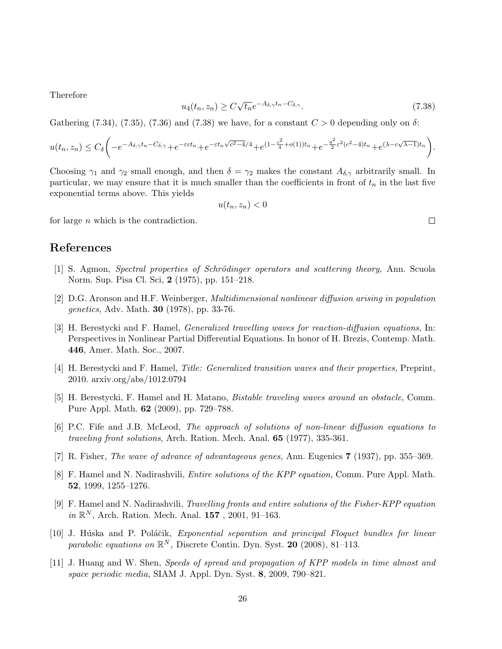Therefore

$$
u_4(t_n, z_n) \ge C\sqrt{t_n}e^{-A_{\delta,\gamma}t_n - C_{\delta,\gamma}}.\tag{7.38}
$$

Gathering (7.34), (7.35), (7.36) and (7.38) we have, for a constant  $C > 0$  depending only on  $\delta$ :

$$
u(t_n, z_n) \leq C_{\delta} \bigg( -e^{-A_{\delta,\gamma}t_n - C_{\delta,\gamma}} + e^{-\varepsilon ct_n} + e^{-\varepsilon t_n \sqrt{c^2 - 4}/4} + e^{(1 - \frac{c^2}{4} + o(1))t_n} + e^{-\frac{q^2}{2}\varepsilon^2 (c^2 - 4)t_n} + e^{(\lambda - c\sqrt{\lambda - 1})t_n} \bigg).
$$

Choosing  $\gamma_1$  and  $\gamma_2$  small enough, and then  $\delta = \gamma_2$  makes the constant  $A_{\delta,\gamma}$  arbitrarily small. In particular, we may ensure that it is much smaller than the coefficients in front of  $t_n$  in the last five exponential terms above. This yields

$$
u(t_n, z_n) < 0
$$

for large  $n$  which is the contradiction.

### References

- [1] S. Agmon, Spectral properties of Schrödinger operators and scattering theory, Ann. Scuola Norm. Sup. Pisa Cl. Sci, 2 (1975), pp. 151–218.
- [2] D.G. Aronson and H.F. Weinberger, Multidimensional nonlinear diffusion arising in population genetics, Adv. Math. 30 (1978), pp. 33-76.
- [3] H. Berestycki and F. Hamel, Generalized travelling waves for reaction-diffusion equations, In: Perspectives in Nonlinear Partial Differential Equations. In honor of H. Brezis, Contemp. Math. 446, Amer. Math. Soc., 2007.
- [4] H. Berestycki and F. Hamel, Title: Generalized transition waves and their properties, Preprint, 2010. arxiv.org/abs/1012.0794
- [5] H. Berestycki, F. Hamel and H. Matano, Bistable traveling waves around an obstacle, Comm. Pure Appl. Math. 62 (2009), pp. 729–788.
- [6] P.C. Fife and J.B. McLeod, The approach of solutions of non-linear diffusion equations to traveling front solutions, Arch. Ration. Mech. Anal. 65 (1977), 335-361.
- [7] R. Fisher, The wave of advance of advantageous genes, Ann. Eugenics 7 (1937), pp. 355–369.
- [8] F. Hamel and N. Nadirashvili, *Entire solutions of the KPP equation*, Comm. Pure Appl. Math. 52, 1999, 1255–1276.
- [9] F. Hamel and N. Nadirashvili, Travelling fronts and entire solutions of the Fisher-KPP equation in  $\mathbb{R}^N$ , Arch. Ration. Mech. Anal. 157, 2001, 91-163.
- [10] J. Húska and P. Poláčik, Exponential separation and principal Floquet bundles for linear parabolic equations on  $\mathbb{R}^N$ , Discrete Contin. Dyn. Syst. 20 (2008), 81-113.
- [11] J. Huang and W. Shen, Speeds of spread and propagation of KPP models in time almost and space periodic media, SIAM J. Appl. Dyn. Syst. 8, 2009, 790–821.

 $\Box$